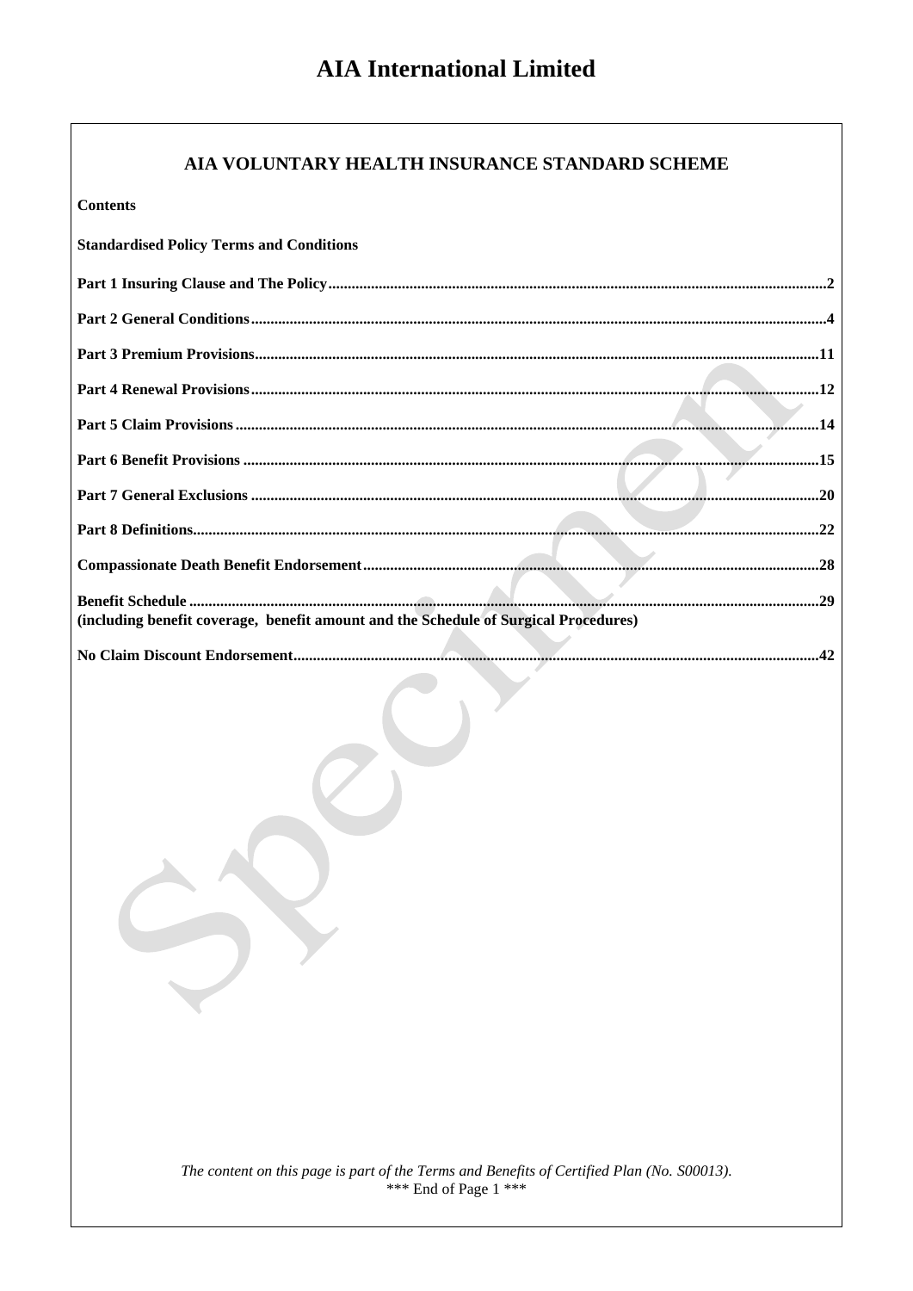# AIA VOLUNTARY HEALTH INSURANCE STANDARD SCHEME

| <b>Contents</b>                                                                      |  |
|--------------------------------------------------------------------------------------|--|
| <b>Standardised Policy Terms and Conditions</b>                                      |  |
|                                                                                      |  |
|                                                                                      |  |
|                                                                                      |  |
|                                                                                      |  |
|                                                                                      |  |
|                                                                                      |  |
|                                                                                      |  |
|                                                                                      |  |
|                                                                                      |  |
|                                                                                      |  |
| (including benefit coverage, benefit amount and the Schedule of Surgical Procedures) |  |
|                                                                                      |  |

The content on this page is part of the Terms and Benefits of Certified Plan (No. S00013). \*\*\* End of Page 1 \*\*\*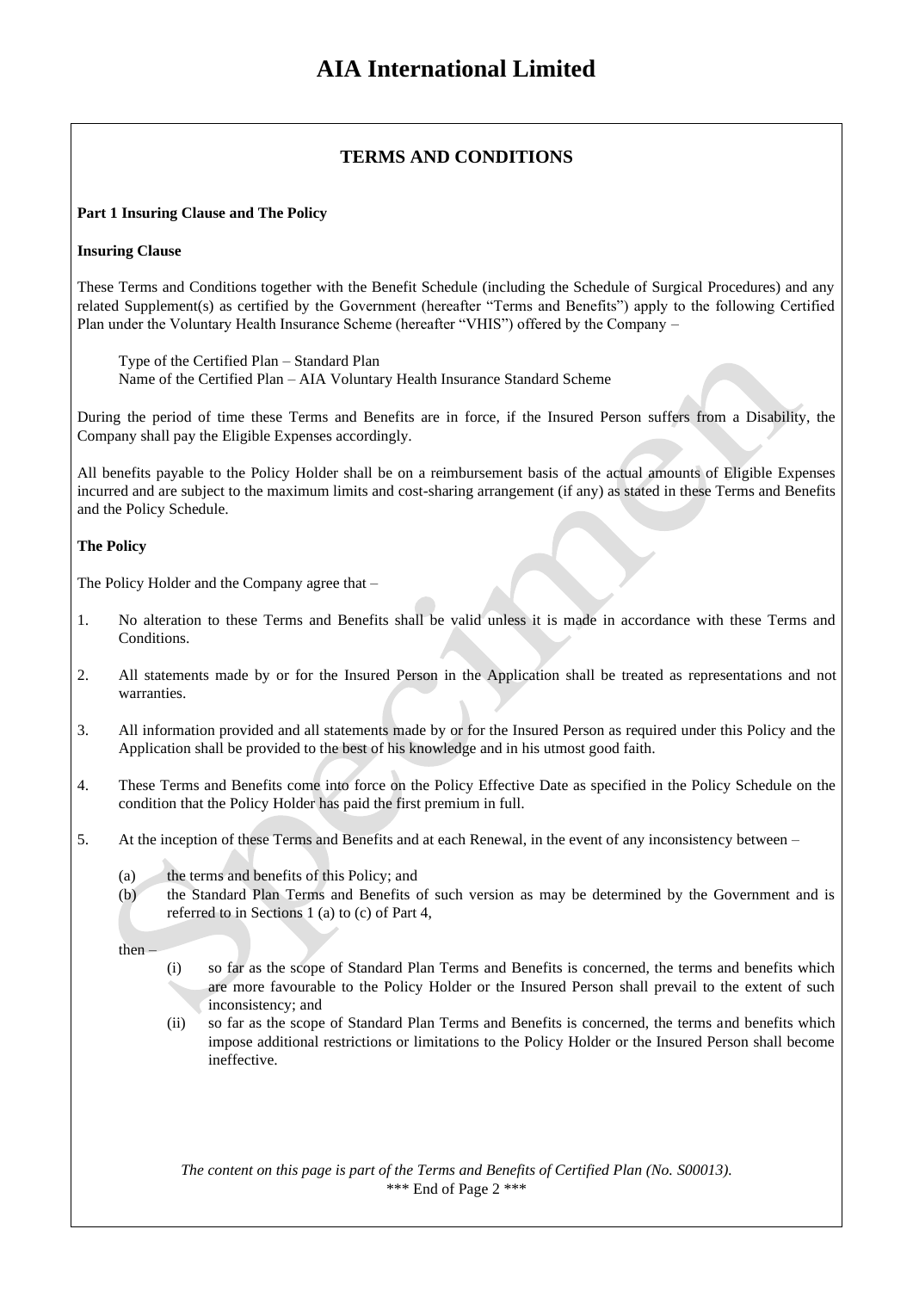# **TERMS AND CONDITIONS**

#### <span id="page-1-0"></span>**Part 1 Insuring Clause and The Policy**

#### **Insuring Clause**

These Terms and Conditions together with the Benefit Schedule (including the Schedule of Surgical Procedures) and any related Supplement(s) as certified by the Government (hereafter "Terms and Benefits") apply to the following Certified Plan under the Voluntary Health Insurance Scheme (hereafter "VHIS") offered by the Company –

Type of the Certified Plan – Standard Plan Name of the Certified Plan – AIA Voluntary Health Insurance Standard Scheme

During the period of time these Terms and Benefits are in force, if the Insured Person suffers from a Disability, the Company shall pay the Eligible Expenses accordingly.

All benefits payable to the Policy Holder shall be on a reimbursement basis of the actual amounts of Eligible Expenses incurred and are subject to the maximum limits and cost-sharing arrangement (if any) as stated in these Terms and Benefits and the Policy Schedule.

#### **The Policy**

The Policy Holder and the Company agree that –

- 1. No alteration to these Terms and Benefits shall be valid unless it is made in accordance with these Terms and Conditions.
- 2. All statements made by or for the Insured Person in the Application shall be treated as representations and not warranties.
- 3. All information provided and all statements made by or for the Insured Person as required under this Policy and the Application shall be provided to the best of his knowledge and in his utmost good faith.
- 4. These Terms and Benefits come into force on the Policy Effective Date as specified in the Policy Schedule on the condition that the Policy Holder has paid the first premium in full.
- 5. At the inception of these Terms and Benefits and at each Renewal, in the event of any inconsistency between
	- (a) the terms and benefits of this Policy; and
	- (b) the Standard Plan Terms and Benefits of such version as may be determined by the Government and is referred to in Sections 1 (a) to (c) of Part 4,

then –

- (i) so far as the scope of Standard Plan Terms and Benefits is concerned, the terms and benefits which are more favourable to the Policy Holder or the Insured Person shall prevail to the extent of such inconsistency; and
- (ii) so far as the scope of Standard Plan Terms and Benefits is concerned, the terms and benefits which impose additional restrictions or limitations to the Policy Holder or the Insured Person shall become ineffective.

*The content on this page is part of the Terms and Benefits of Certified Plan (No. S00013).* \*\*\* End of Page 2 \*\*\*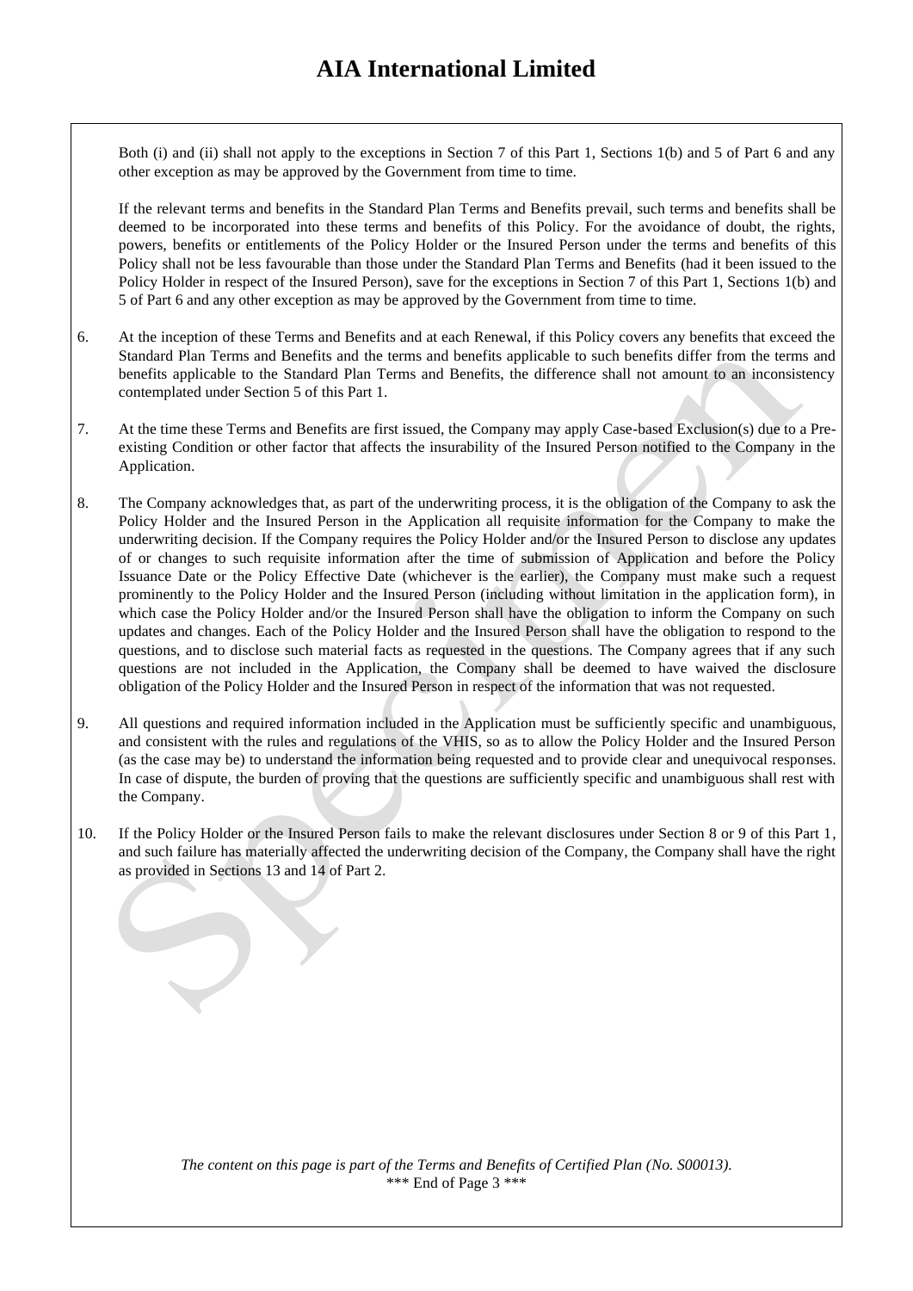Both (i) and (ii) shall not apply to the exceptions in Section 7 of this Part 1, Sections 1(b) and 5 of Part 6 and any other exception as may be approved by the Government from time to time.

If the relevant terms and benefits in the Standard Plan Terms and Benefits prevail, such terms and benefits shall be deemed to be incorporated into these terms and benefits of this Policy. For the avoidance of doubt, the rights, powers, benefits or entitlements of the Policy Holder or the Insured Person under the terms and benefits of this Policy shall not be less favourable than those under the Standard Plan Terms and Benefits (had it been issued to the Policy Holder in respect of the Insured Person), save for the exceptions in Section 7 of this Part 1, Sections 1(b) and 5 of Part 6 and any other exception as may be approved by the Government from time to time.

- 6. At the inception of these Terms and Benefits and at each Renewal, if this Policy covers any benefits that exceed the Standard Plan Terms and Benefits and the terms and benefits applicable to such benefits differ from the terms and benefits applicable to the Standard Plan Terms and Benefits, the difference shall not amount to an inconsistency contemplated under Section 5 of this Part 1.
- 7. At the time these Terms and Benefits are first issued, the Company may apply Case-based Exclusion(s) due to a Preexisting Condition or other factor that affects the insurability of the Insured Person notified to the Company in the Application.
- 8. The Company acknowledges that, as part of the underwriting process, it is the obligation of the Company to ask the Policy Holder and the Insured Person in the Application all requisite information for the Company to make the underwriting decision. If the Company requires the Policy Holder and/or the Insured Person to disclose any updates of or changes to such requisite information after the time of submission of Application and before the Policy Issuance Date or the Policy Effective Date (whichever is the earlier), the Company must make such a request prominently to the Policy Holder and the Insured Person (including without limitation in the application form), in which case the Policy Holder and/or the Insured Person shall have the obligation to inform the Company on such updates and changes. Each of the Policy Holder and the Insured Person shall have the obligation to respond to the questions, and to disclose such material facts as requested in the questions. The Company agrees that if any such questions are not included in the Application, the Company shall be deemed to have waived the disclosure obligation of the Policy Holder and the Insured Person in respect of the information that was not requested.
- 9. All questions and required information included in the Application must be sufficiently specific and unambiguous, and consistent with the rules and regulations of the VHIS, so as to allow the Policy Holder and the Insured Person (as the case may be) to understand the information being requested and to provide clear and unequivocal responses. In case of dispute, the burden of proving that the questions are sufficiently specific and unambiguous shall rest with the Company.
- 10. If the Policy Holder or the Insured Person fails to make the relevant disclosures under Section 8 or 9 of this Part 1, and such failure has materially affected the underwriting decision of the Company, the Company shall have the right as provided in Sections 13 and 14 of Part 2.

*The content on this page is part of the Terms and Benefits of Certified Plan (No. S00013).* \*\*\* End of Page 3 \*\*\*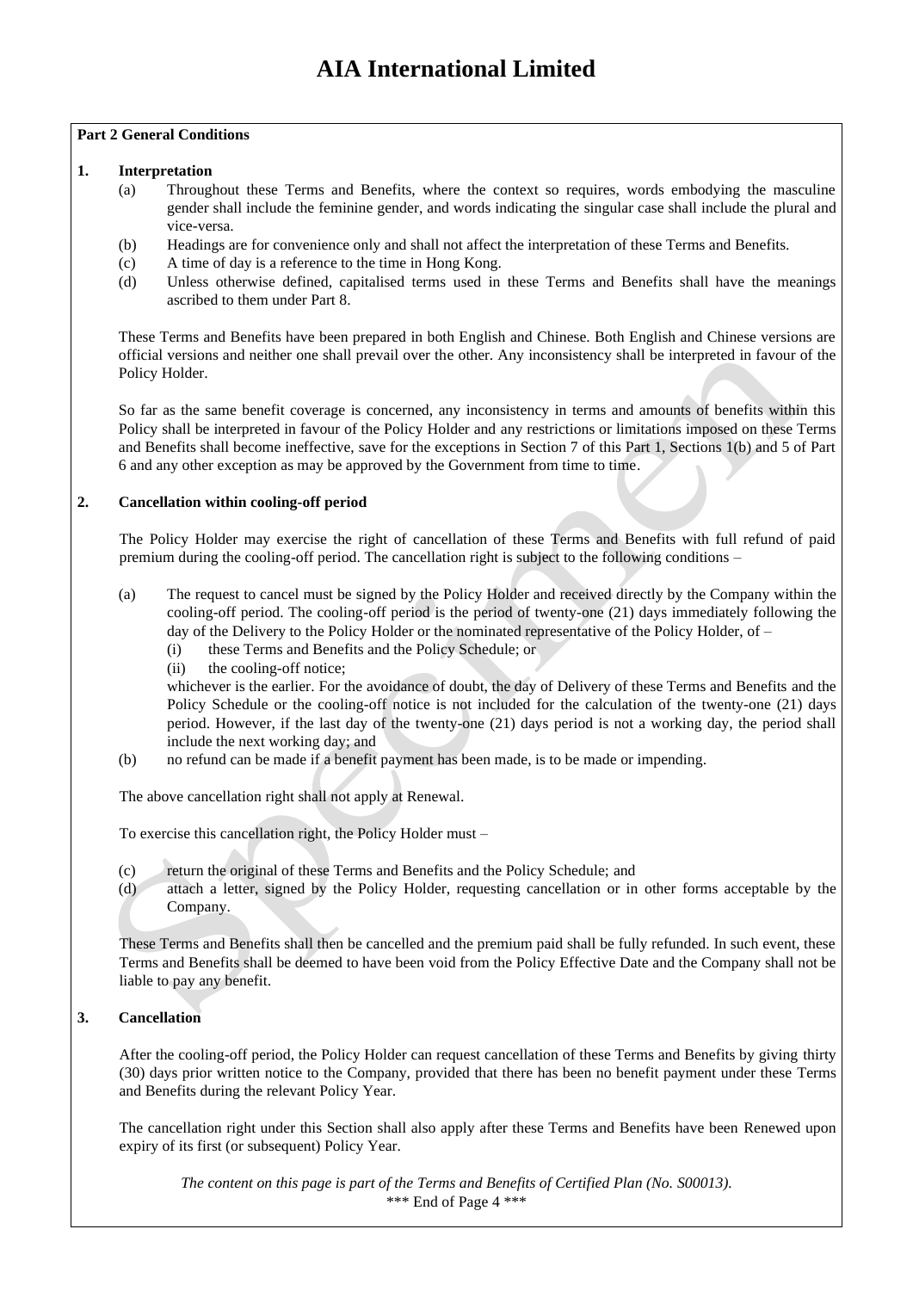### <span id="page-3-0"></span>**Part 2 General Conditions**

#### **1. Interpretation**

- (a) Throughout these Terms and Benefits, where the context so requires, words embodying the masculine gender shall include the feminine gender, and words indicating the singular case shall include the plural and vice-versa.
- (b) Headings are for convenience only and shall not affect the interpretation of these Terms and Benefits.
- (c) A time of day is a reference to the time in Hong Kong.
- (d) Unless otherwise defined, capitalised terms used in these Terms and Benefits shall have the meanings ascribed to them under Part 8.

These Terms and Benefits have been prepared in both English and Chinese. Both English and Chinese versions are official versions and neither one shall prevail over the other. Any inconsistency shall be interpreted in favour of the Policy Holder.

So far as the same benefit coverage is concerned, any inconsistency in terms and amounts of benefits within this Policy shall be interpreted in favour of the Policy Holder and any restrictions or limitations imposed on these Terms and Benefits shall become ineffective, save for the exceptions in Section 7 of this Part 1, Sections 1(b) and 5 of Part 6 and any other exception as may be approved by the Government from time to time.

#### **2. Cancellation within cooling-off period**

The Policy Holder may exercise the right of cancellation of these Terms and Benefits with full refund of paid premium during the cooling-off period. The cancellation right is subject to the following conditions –

- (a) The request to cancel must be signed by the Policy Holder and received directly by the Company within the cooling-off period. The cooling-off period is the period of twenty-one (21) days immediately following the day of the Delivery to the Policy Holder or the nominated representative of the Policy Holder, of –
	- (i) these Terms and Benefits and the Policy Schedule; or
	- (ii) the cooling-off notice;

whichever is the earlier. For the avoidance of doubt, the day of Delivery of these Terms and Benefits and the Policy Schedule or the cooling-off notice is not included for the calculation of the twenty-one (21) days period. However, if the last day of the twenty-one (21) days period is not a working day, the period shall include the next working day; and

(b) no refund can be made if a benefit payment has been made, is to be made or impending.

The above cancellation right shall not apply at Renewal.

To exercise this cancellation right, the Policy Holder must –

- (c) return the original of these Terms and Benefits and the Policy Schedule; and
- (d) attach a letter, signed by the Policy Holder, requesting cancellation or in other forms acceptable by the Company.

These Terms and Benefits shall then be cancelled and the premium paid shall be fully refunded. In such event, these Terms and Benefits shall be deemed to have been void from the Policy Effective Date and the Company shall not be liable to pay any benefit.

# **3. Cancellation**

After the cooling-off period, the Policy Holder can request cancellation of these Terms and Benefits by giving thirty (30) days prior written notice to the Company, provided that there has been no benefit payment under these Terms and Benefits during the relevant Policy Year.

The cancellation right under this Section shall also apply after these Terms and Benefits have been Renewed upon expiry of its first (or subsequent) Policy Year.

*The content on this page is part of the Terms and Benefits of Certified Plan (No. S00013).* \*\*\* End of Page 4 \*\*\*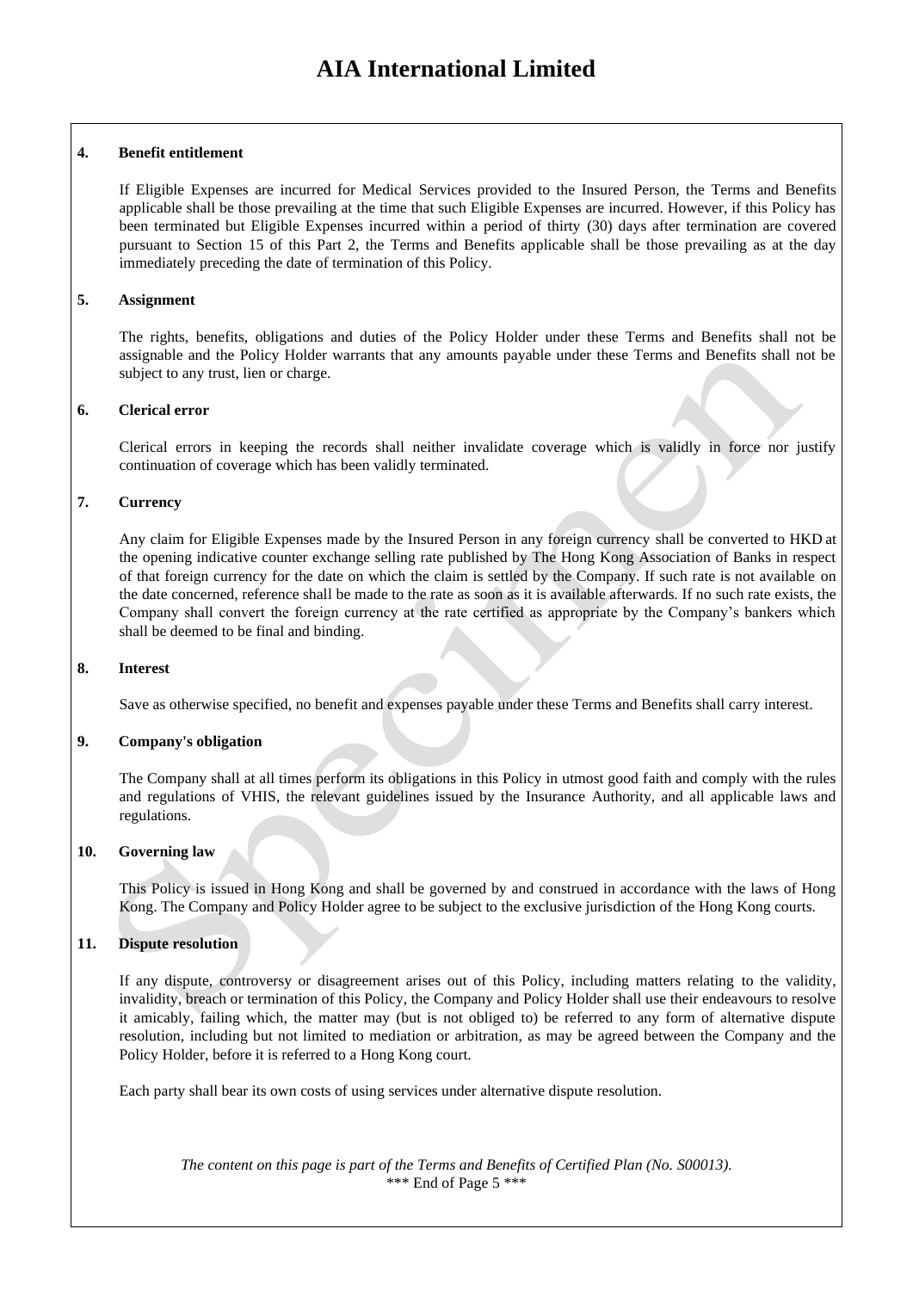#### **4. Benefit entitlement**

If Eligible Expenses are incurred for Medical Services provided to the Insured Person, the Terms and Benefits applicable shall be those prevailing at the time that such Eligible Expenses are incurred. However, if this Policy has been terminated but Eligible Expenses incurred within a period of thirty (30) days after termination are covered pursuant to Section 15 of this Part 2, the Terms and Benefits applicable shall be those prevailing as at the day immediately preceding the date of termination of this Policy.

# **5. Assignment**

The rights, benefits, obligations and duties of the Policy Holder under these Terms and Benefits shall not be assignable and the Policy Holder warrants that any amounts payable under these Terms and Benefits shall not be subject to any trust, lien or charge.

#### **6. Clerical error**

Clerical errors in keeping the records shall neither invalidate coverage which is validly in force nor justify continuation of coverage which has been validly terminated.

# **7. Currency**

Any claim for Eligible Expenses made by the Insured Person in any foreign currency shall be converted to HKD at the opening indicative counter exchange selling rate published by The Hong Kong Association of Banks in respect of that foreign currency for the date on which the claim is settled by the Company. If such rate is not available on the date concerned, reference shall be made to the rate as soon as it is available afterwards. If no such rate exists, the Company shall convert the foreign currency at the rate certified as appropriate by the Company's bankers which shall be deemed to be final and binding.

#### **8. Interest**

Save as otherwise specified, no benefit and expenses payable under these Terms and Benefits shall carry interest.

#### **9. Company's obligation**

The Company shall at all times perform its obligations in this Policy in utmost good faith and comply with the rules and regulations of VHIS, the relevant guidelines issued by the Insurance Authority, and all applicable laws and regulations.

#### **10. Governing law**

This Policy is issued in Hong Kong and shall be governed by and construed in accordance with the laws of Hong Kong. The Company and Policy Holder agree to be subject to the exclusive jurisdiction of the Hong Kong courts.

#### **11. Dispute resolution**

If any dispute, controversy or disagreement arises out of this Policy, including matters relating to the validity, invalidity, breach or termination of this Policy, the Company and Policy Holder shall use their endeavours to resolve it amicably, failing which, the matter may (but is not obliged to) be referred to any form of alternative dispute resolution, including but not limited to mediation or arbitration, as may be agreed between the Company and the Policy Holder, before it is referred to a Hong Kong court.

Each party shall bear its own costs of using services under alternative dispute resolution.

*The content on this page is part of the Terms and Benefits of Certified Plan (No. S00013).* \*\*\* End of Page 5 \*\*\*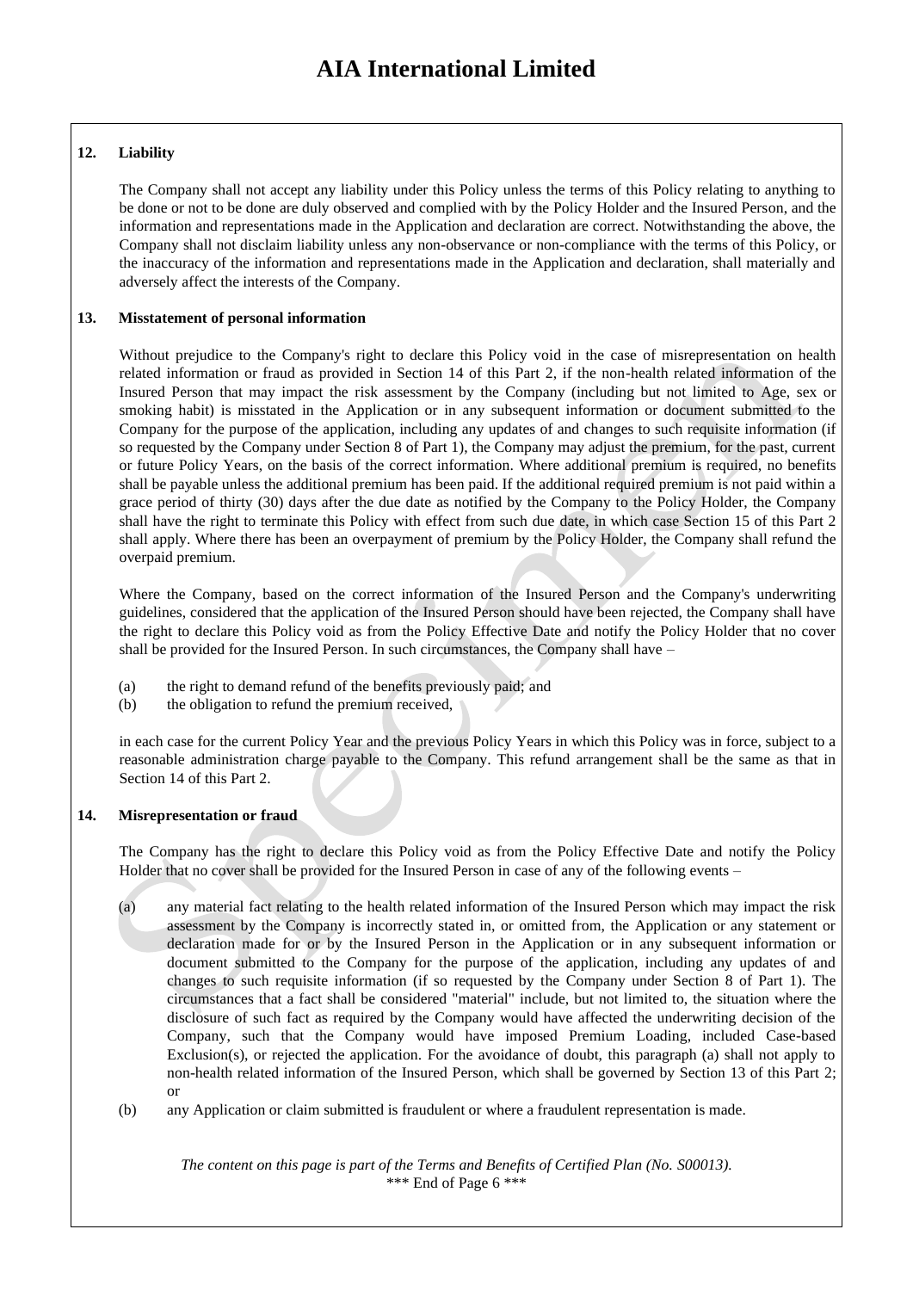# **12. Liability**

The Company shall not accept any liability under this Policy unless the terms of this Policy relating to anything to be done or not to be done are duly observed and complied with by the Policy Holder and the Insured Person, and the information and representations made in the Application and declaration are correct. Notwithstanding the above, the Company shall not disclaim liability unless any non-observance or non-compliance with the terms of this Policy, or the inaccuracy of the information and representations made in the Application and declaration, shall materially and adversely affect the interests of the Company.

#### **13. Misstatement of personal information**

Without prejudice to the Company's right to declare this Policy void in the case of misrepresentation on health related information or fraud as provided in Section 14 of this Part 2, if the non-health related information of the Insured Person that may impact the risk assessment by the Company (including but not limited to Age, sex or smoking habit) is misstated in the Application or in any subsequent information or document submitted to the Company for the purpose of the application, including any updates of and changes to such requisite information (if so requested by the Company under Section 8 of Part 1), the Company may adjust the premium, for the past, current or future Policy Years, on the basis of the correct information. Where additional premium is required, no benefits shall be payable unless the additional premium has been paid. If the additional required premium is not paid within a grace period of thirty (30) days after the due date as notified by the Company to the Policy Holder, the Company shall have the right to terminate this Policy with effect from such due date, in which case Section 15 of this Part 2 shall apply. Where there has been an overpayment of premium by the Policy Holder, the Company shall refund the overpaid premium.

Where the Company, based on the correct information of the Insured Person and the Company's underwriting guidelines, considered that the application of the Insured Person should have been rejected, the Company shall have the right to declare this Policy void as from the Policy Effective Date and notify the Policy Holder that no cover shall be provided for the Insured Person. In such circumstances, the Company shall have –

- (a) the right to demand refund of the benefits previously paid; and
- (b) the obligation to refund the premium received,

in each case for the current Policy Year and the previous Policy Years in which this Policy was in force, subject to a reasonable administration charge payable to the Company. This refund arrangement shall be the same as that in Section 14 of this Part 2.

# **14. Misrepresentation or fraud**

The Company has the right to declare this Policy void as from the Policy Effective Date and notify the Policy Holder that no cover shall be provided for the Insured Person in case of any of the following events –

- (a) any material fact relating to the health related information of the Insured Person which may impact the risk assessment by the Company is incorrectly stated in, or omitted from, the Application or any statement or declaration made for or by the Insured Person in the Application or in any subsequent information or document submitted to the Company for the purpose of the application, including any updates of and changes to such requisite information (if so requested by the Company under Section 8 of Part 1). The circumstances that a fact shall be considered "material" include, but not limited to, the situation where the disclosure of such fact as required by the Company would have affected the underwriting decision of the Company, such that the Company would have imposed Premium Loading, included Case-based Exclusion(s), or rejected the application. For the avoidance of doubt, this paragraph (a) shall not apply to non-health related information of the Insured Person, which shall be governed by Section 13 of this Part 2; or
- (b) any Application or claim submitted is fraudulent or where a fraudulent representation is made.

*The content on this page is part of the Terms and Benefits of Certified Plan (No. S00013).* \*\*\* End of Page 6 \*\*\*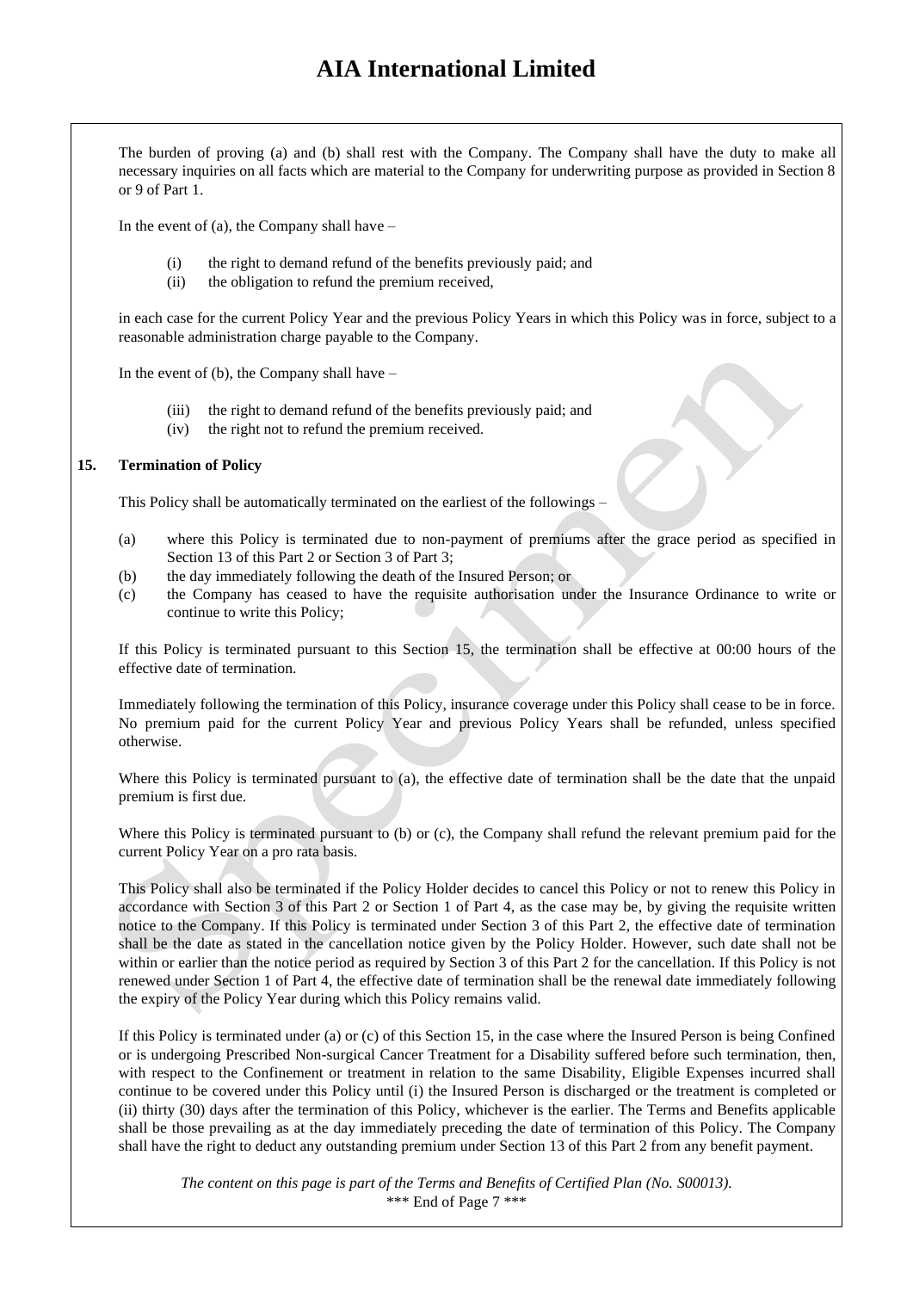The burden of proving (a) and (b) shall rest with the Company. The Company shall have the duty to make all necessary inquiries on all facts which are material to the Company for underwriting purpose as provided in Section 8 or 9 of Part 1.

In the event of (a), the Company shall have  $-$ 

- (i) the right to demand refund of the benefits previously paid; and
- (ii) the obligation to refund the premium received,

in each case for the current Policy Year and the previous Policy Years in which this Policy was in force, subject to a reasonable administration charge payable to the Company.

In the event of  $(b)$ , the Company shall have  $-$ 

- (iii) the right to demand refund of the benefits previously paid; and
- (iv) the right not to refund the premium received.

#### **15. Termination of Policy**

This Policy shall be automatically terminated on the earliest of the followings –

- (a) where this Policy is terminated due to non-payment of premiums after the grace period as specified in Section 13 of this Part 2 or Section 3 of Part 3;
- (b) the day immediately following the death of the Insured Person; or
- (c) the Company has ceased to have the requisite authorisation under the Insurance Ordinance to write or continue to write this Policy;

If this Policy is terminated pursuant to this Section 15, the termination shall be effective at 00:00 hours of the effective date of termination.

Immediately following the termination of this Policy, insurance coverage under this Policy shall cease to be in force. No premium paid for the current Policy Year and previous Policy Years shall be refunded, unless specified otherwise.

Where this Policy is terminated pursuant to (a), the effective date of termination shall be the date that the unpaid premium is first due.

Where this Policy is terminated pursuant to (b) or (c), the Company shall refund the relevant premium paid for the current Policy Year on a pro rata basis.

This Policy shall also be terminated if the Policy Holder decides to cancel this Policy or not to renew this Policy in accordance with Section 3 of this Part 2 or Section 1 of Part 4, as the case may be, by giving the requisite written notice to the Company. If this Policy is terminated under Section 3 of this Part 2, the effective date of termination shall be the date as stated in the cancellation notice given by the Policy Holder. However, such date shall not be within or earlier than the notice period as required by Section 3 of this Part 2 for the cancellation. If this Policy is not renewed under Section 1 of Part 4, the effective date of termination shall be the renewal date immediately following the expiry of the Policy Year during which this Policy remains valid.

If this Policy is terminated under (a) or (c) of this Section 15, in the case where the Insured Person is being Confined or is undergoing Prescribed Non-surgical Cancer Treatment for a Disability suffered before such termination, then, with respect to the Confinement or treatment in relation to the same Disability, Eligible Expenses incurred shall continue to be covered under this Policy until (i) the Insured Person is discharged or the treatment is completed or (ii) thirty (30) days after the termination of this Policy, whichever is the earlier. The Terms and Benefits applicable shall be those prevailing as at the day immediately preceding the date of termination of this Policy. The Company shall have the right to deduct any outstanding premium under Section 13 of this Part 2 from any benefit payment.

*The content on this page is part of the Terms and Benefits of Certified Plan (No. S00013).* \*\*\* End of Page 7 \*\*\*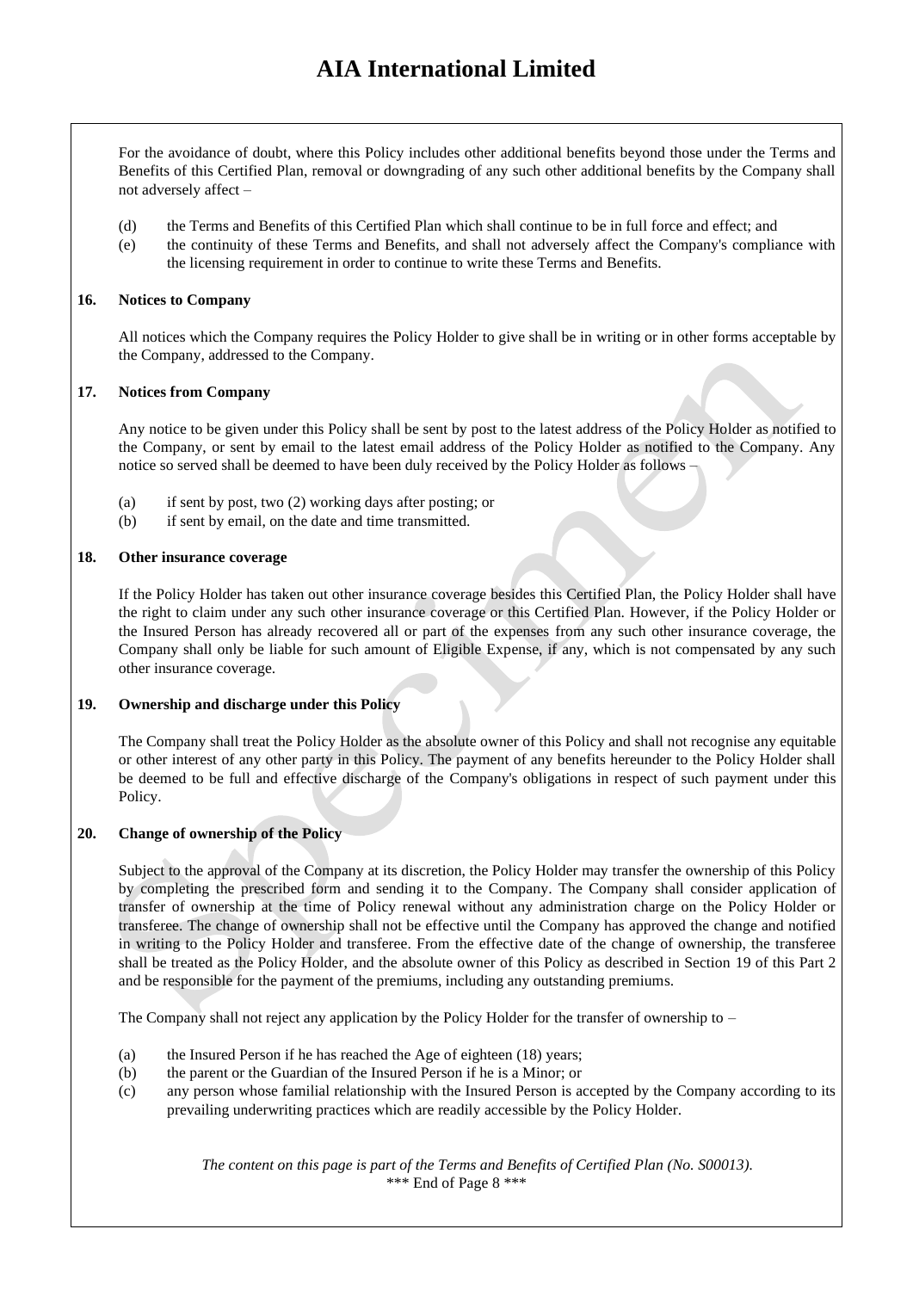For the avoidance of doubt, where this Policy includes other additional benefits beyond those under the Terms and Benefits of this Certified Plan, removal or downgrading of any such other additional benefits by the Company shall not adversely affect –

- (d) the Terms and Benefits of this Certified Plan which shall continue to be in full force and effect; and
- (e) the continuity of these Terms and Benefits, and shall not adversely affect the Company's compliance with the licensing requirement in order to continue to write these Terms and Benefits.

#### **16. Notices to Company**

All notices which the Company requires the Policy Holder to give shall be in writing or in other forms acceptable by the Company, addressed to the Company.

#### **17. Notices from Company**

Any notice to be given under this Policy shall be sent by post to the latest address of the Policy Holder as notified to the Company, or sent by email to the latest email address of the Policy Holder as notified to the Company. Any notice so served shall be deemed to have been duly received by the Policy Holder as follows –

- (a) if sent by post, two (2) working days after posting; or
- (b) if sent by email, on the date and time transmitted.

#### **18. Other insurance coverage**

If the Policy Holder has taken out other insurance coverage besides this Certified Plan, the Policy Holder shall have the right to claim under any such other insurance coverage or this Certified Plan. However, if the Policy Holder or the Insured Person has already recovered all or part of the expenses from any such other insurance coverage, the Company shall only be liable for such amount of Eligible Expense, if any, which is not compensated by any such other insurance coverage.

#### **19. Ownership and discharge under this Policy**

The Company shall treat the Policy Holder as the absolute owner of this Policy and shall not recognise any equitable or other interest of any other party in this Policy. The payment of any benefits hereunder to the Policy Holder shall be deemed to be full and effective discharge of the Company's obligations in respect of such payment under this Policy.

# **20. Change of ownership of the Policy**

Subject to the approval of the Company at its discretion, the Policy Holder may transfer the ownership of this Policy by completing the prescribed form and sending it to the Company. The Company shall consider application of transfer of ownership at the time of Policy renewal without any administration charge on the Policy Holder or transferee. The change of ownership shall not be effective until the Company has approved the change and notified in writing to the Policy Holder and transferee. From the effective date of the change of ownership, the transferee shall be treated as the Policy Holder, and the absolute owner of this Policy as described in Section 19 of this Part 2 and be responsible for the payment of the premiums, including any outstanding premiums.

The Company shall not reject any application by the Policy Holder for the transfer of ownership to –

- (a) the Insured Person if he has reached the Age of eighteen (18) years;
- (b) the parent or the Guardian of the Insured Person if he is a Minor; or
- (c) any person whose familial relationship with the Insured Person is accepted by the Company according to its prevailing underwriting practices which are readily accessible by the Policy Holder.

*The content on this page is part of the Terms and Benefits of Certified Plan (No. S00013).* \*\*\* End of Page 8 \*\*\*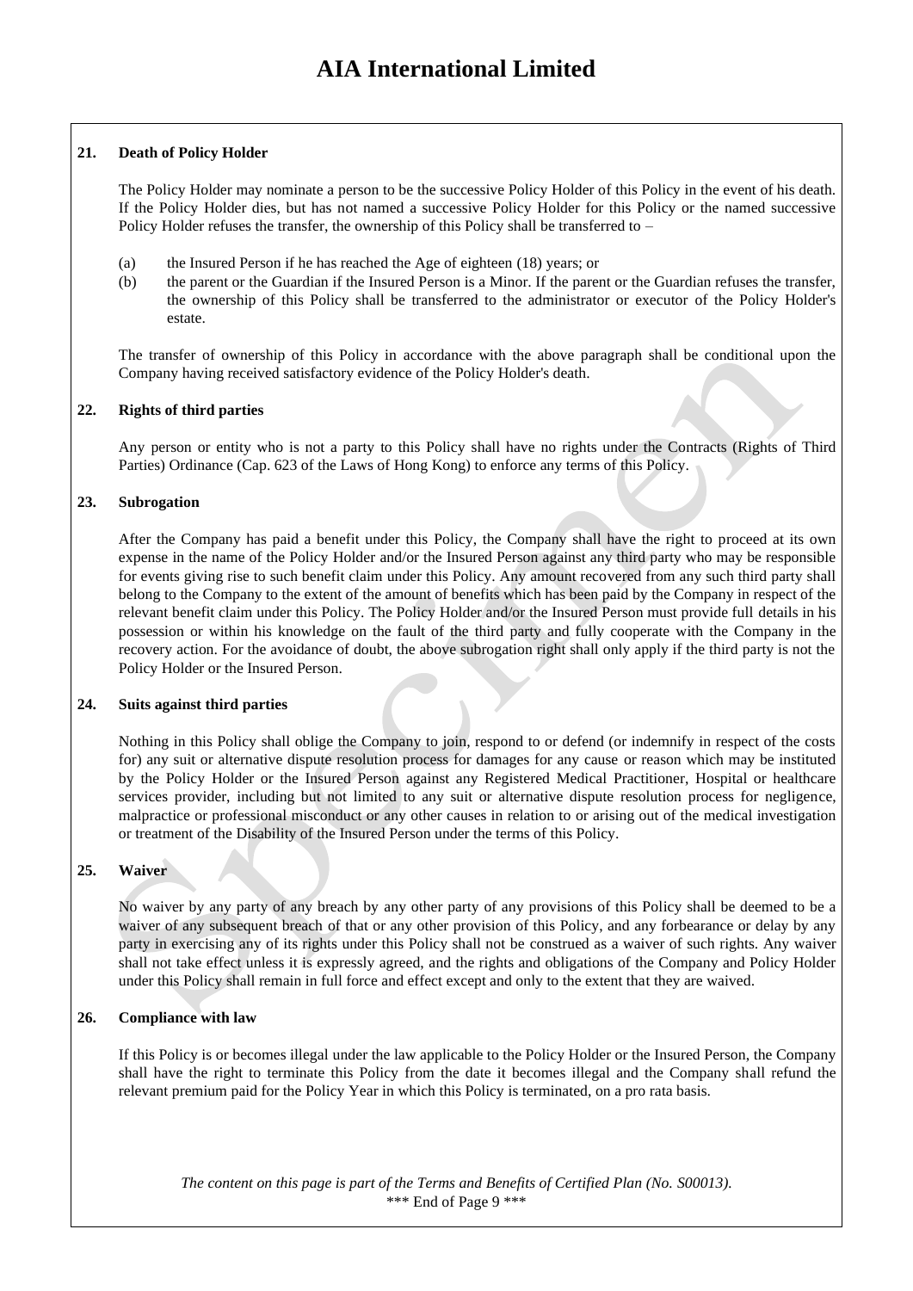### **21. Death of Policy Holder**

The Policy Holder may nominate a person to be the successive Policy Holder of this Policy in the event of his death. If the Policy Holder dies, but has not named a successive Policy Holder for this Policy or the named successive Policy Holder refuses the transfer, the ownership of this Policy shall be transferred to –

- (a) the Insured Person if he has reached the Age of eighteen (18) years; or
- (b) the parent or the Guardian if the Insured Person is a Minor. If the parent or the Guardian refuses the transfer, the ownership of this Policy shall be transferred to the administrator or executor of the Policy Holder's estate.

The transfer of ownership of this Policy in accordance with the above paragraph shall be conditional upon the Company having received satisfactory evidence of the Policy Holder's death.

#### **22. Rights of third parties**

Any person or entity who is not a party to this Policy shall have no rights under the Contracts (Rights of Third Parties) Ordinance (Cap. 623 of the Laws of Hong Kong) to enforce any terms of this Policy.

#### **23. Subrogation**

After the Company has paid a benefit under this Policy, the Company shall have the right to proceed at its own expense in the name of the Policy Holder and/or the Insured Person against any third party who may be responsible for events giving rise to such benefit claim under this Policy. Any amount recovered from any such third party shall belong to the Company to the extent of the amount of benefits which has been paid by the Company in respect of the relevant benefit claim under this Policy. The Policy Holder and/or the Insured Person must provide full details in his possession or within his knowledge on the fault of the third party and fully cooperate with the Company in the recovery action. For the avoidance of doubt, the above subrogation right shall only apply if the third party is not the Policy Holder or the Insured Person.

#### **24. Suits against third parties**

Nothing in this Policy shall oblige the Company to join, respond to or defend (or indemnify in respect of the costs for) any suit or alternative dispute resolution process for damages for any cause or reason which may be instituted by the Policy Holder or the Insured Person against any Registered Medical Practitioner, Hospital or healthcare services provider, including but not limited to any suit or alternative dispute resolution process for negligence, malpractice or professional misconduct or any other causes in relation to or arising out of the medical investigation or treatment of the Disability of the Insured Person under the terms of this Policy.

#### **25. Waiver**

No waiver by any party of any breach by any other party of any provisions of this Policy shall be deemed to be a waiver of any subsequent breach of that or any other provision of this Policy, and any forbearance or delay by any party in exercising any of its rights under this Policy shall not be construed as a waiver of such rights. Any waiver shall not take effect unless it is expressly agreed, and the rights and obligations of the Company and Policy Holder under this Policy shall remain in full force and effect except and only to the extent that they are waived.

# **26. Compliance with law**

If this Policy is or becomes illegal under the law applicable to the Policy Holder or the Insured Person, the Company shall have the right to terminate this Policy from the date it becomes illegal and the Company shall refund the relevant premium paid for the Policy Year in which this Policy is terminated, on a pro rata basis.

*The content on this page is part of the Terms and Benefits of Certified Plan (No. S00013).* \*\*\* End of Page 9 \*\*\*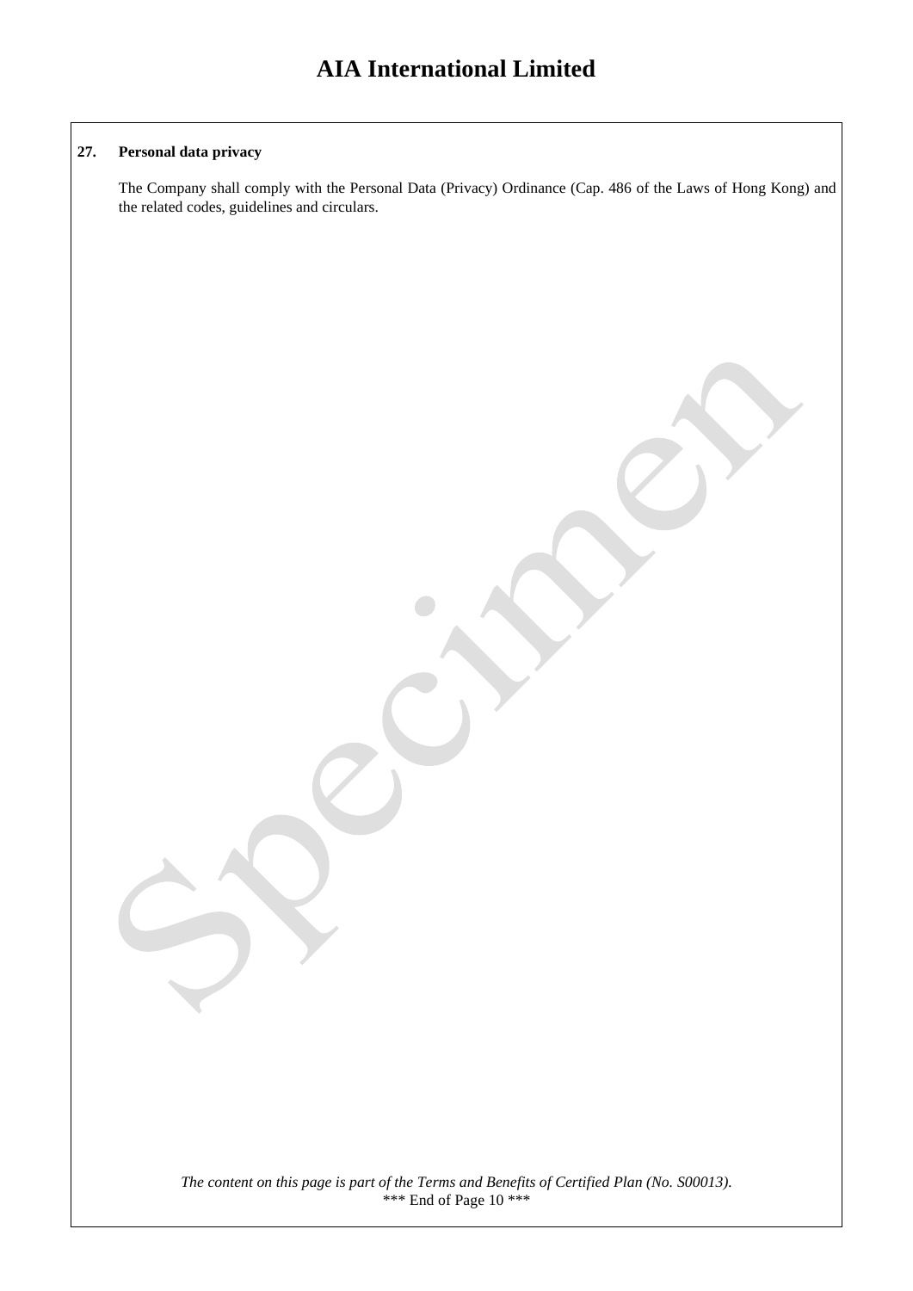# **27. Personal data privacy**

The Company shall comply with the Personal Data (Privacy) Ordinance (Cap. 486 of the Laws of Hong Kong) and the related codes, guidelines and circulars.

*The content on this page is part of the Terms and Benefits of Certified Plan (No. S00013).* \*\*\* End of Page 10 \*\*\*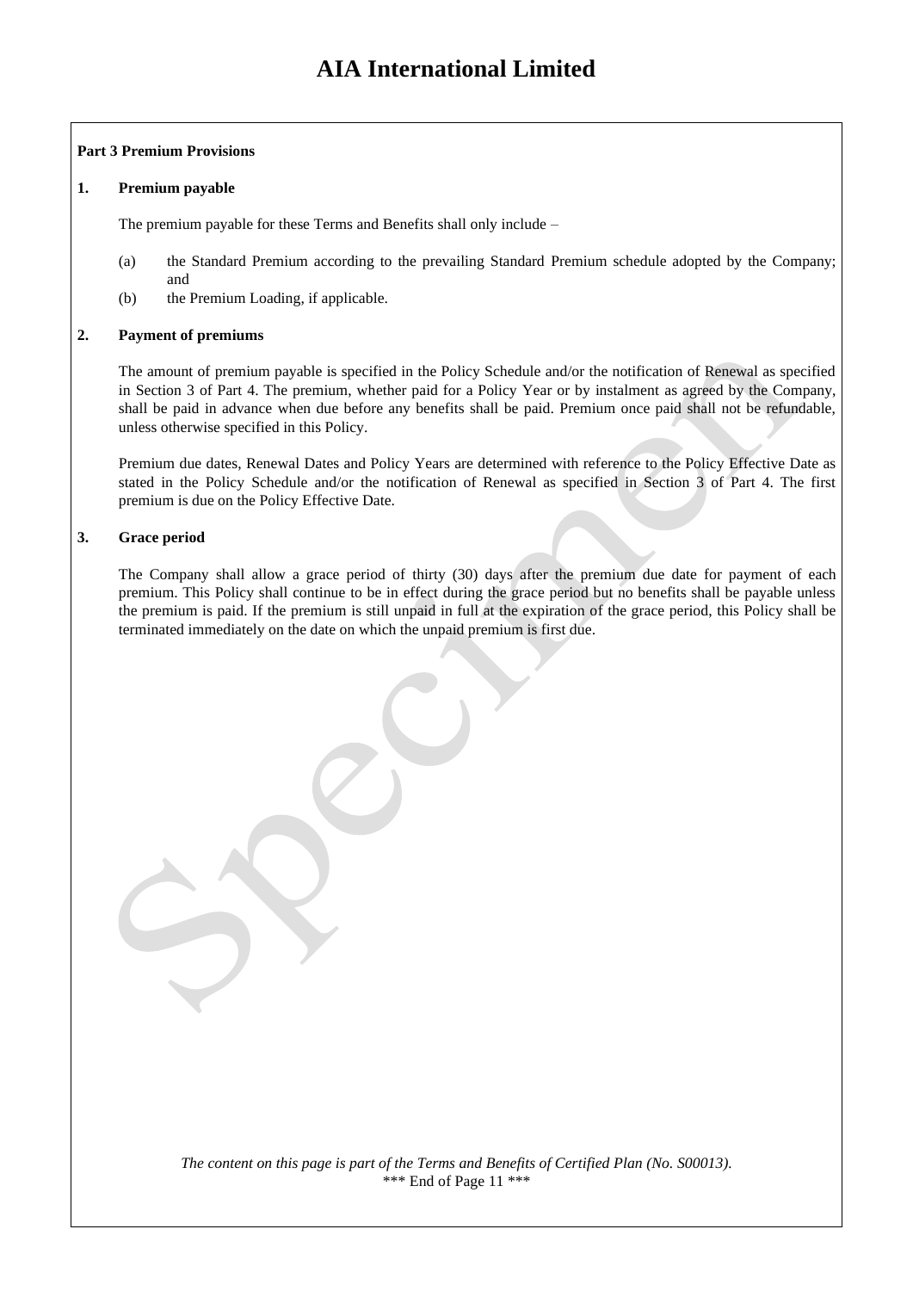#### <span id="page-10-0"></span>**Part 3 Premium Provisions**

#### **1. Premium payable**

The premium payable for these Terms and Benefits shall only include –

- (a) the Standard Premium according to the prevailing Standard Premium schedule adopted by the Company; and
- (b) the Premium Loading, if applicable.

### **2. Payment of premiums**

The amount of premium payable is specified in the Policy Schedule and/or the notification of Renewal as specified in Section 3 of Part 4. The premium, whether paid for a Policy Year or by instalment as agreed by the Company, shall be paid in advance when due before any benefits shall be paid. Premium once paid shall not be refundable, unless otherwise specified in this Policy.

Premium due dates, Renewal Dates and Policy Years are determined with reference to the Policy Effective Date as stated in the Policy Schedule and/or the notification of Renewal as specified in Section 3 of Part 4. The first premium is due on the Policy Effective Date.

#### **3. Grace period**

The Company shall allow a grace period of thirty (30) days after the premium due date for payment of each premium. This Policy shall continue to be in effect during the grace period but no benefits shall be payable unless the premium is paid. If the premium is still unpaid in full at the expiration of the grace period, this Policy shall be terminated immediately on the date on which the unpaid premium is first due.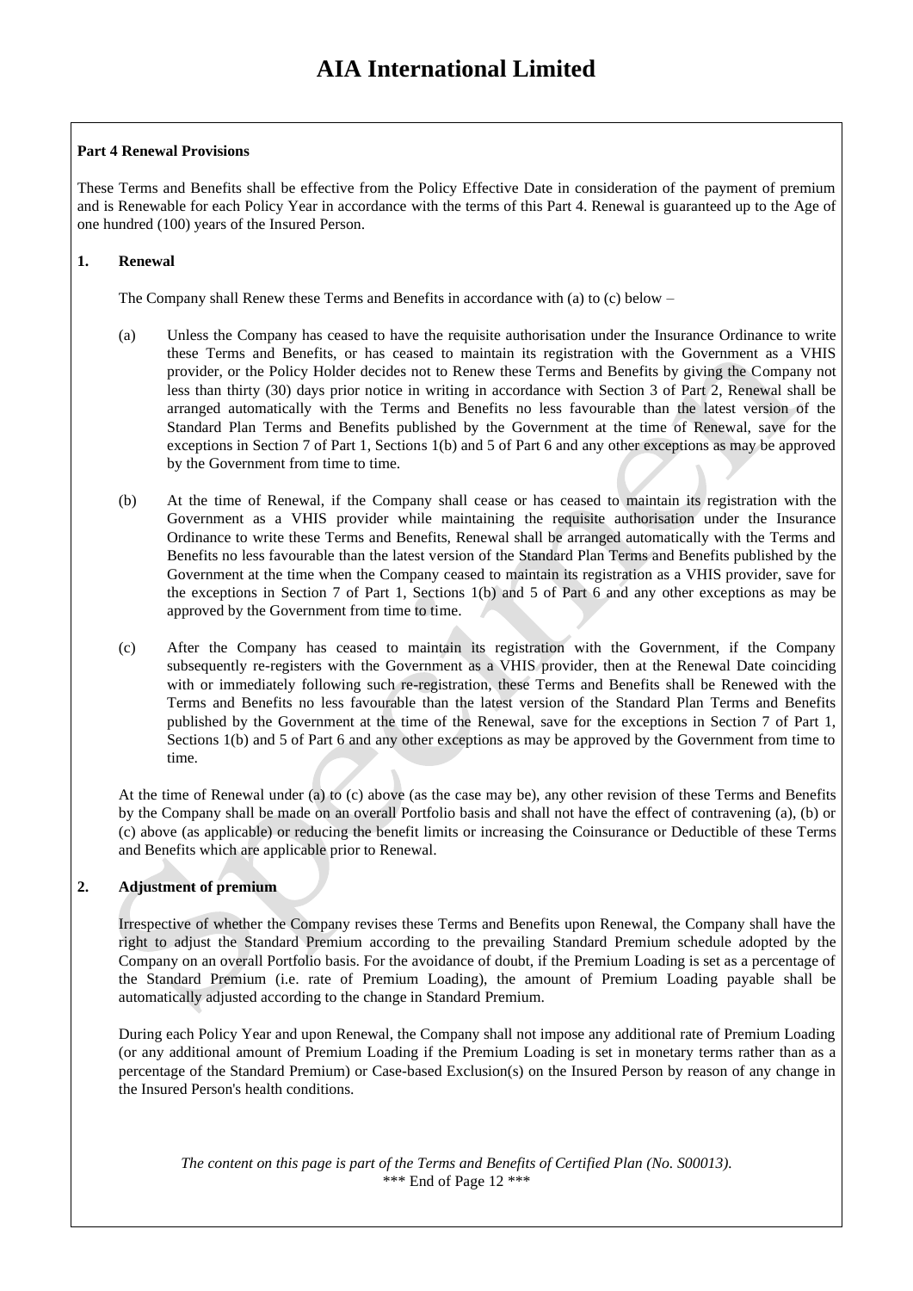#### <span id="page-11-0"></span>**Part 4 Renewal Provisions**

These Terms and Benefits shall be effective from the Policy Effective Date in consideration of the payment of premium and is Renewable for each Policy Year in accordance with the terms of this Part 4. Renewal is guaranteed up to the Age of one hundred (100) years of the Insured Person.

# **1. Renewal**

The Company shall Renew these Terms and Benefits in accordance with (a) to (c) below –

- (a) Unless the Company has ceased to have the requisite authorisation under the Insurance Ordinance to write these Terms and Benefits, or has ceased to maintain its registration with the Government as a VHIS provider, or the Policy Holder decides not to Renew these Terms and Benefits by giving the Company not less than thirty (30) days prior notice in writing in accordance with Section 3 of Part 2, Renewal shall be arranged automatically with the Terms and Benefits no less favourable than the latest version of the Standard Plan Terms and Benefits published by the Government at the time of Renewal, save for the exceptions in Section 7 of Part 1, Sections 1(b) and 5 of Part 6 and any other exceptions as may be approved by the Government from time to time.
- (b) At the time of Renewal, if the Company shall cease or has ceased to maintain its registration with the Government as a VHIS provider while maintaining the requisite authorisation under the Insurance Ordinance to write these Terms and Benefits, Renewal shall be arranged automatically with the Terms and Benefits no less favourable than the latest version of the Standard Plan Terms and Benefits published by the Government at the time when the Company ceased to maintain its registration as a VHIS provider, save for the exceptions in Section 7 of Part 1, Sections 1(b) and 5 of Part 6 and any other exceptions as may be approved by the Government from time to time.
- (c) After the Company has ceased to maintain its registration with the Government, if the Company subsequently re-registers with the Government as a VHIS provider, then at the Renewal Date coinciding with or immediately following such re-registration, these Terms and Benefits shall be Renewed with the Terms and Benefits no less favourable than the latest version of the Standard Plan Terms and Benefits published by the Government at the time of the Renewal, save for the exceptions in Section 7 of Part 1, Sections 1(b) and 5 of Part 6 and any other exceptions as may be approved by the Government from time to time.

At the time of Renewal under (a) to (c) above (as the case may be), any other revision of these Terms and Benefits by the Company shall be made on an overall Portfolio basis and shall not have the effect of contravening (a), (b) or (c) above (as applicable) or reducing the benefit limits or increasing the Coinsurance or Deductible of these Terms and Benefits which are applicable prior to Renewal.

# **2. Adjustment of premium**

Irrespective of whether the Company revises these Terms and Benefits upon Renewal, the Company shall have the right to adjust the Standard Premium according to the prevailing Standard Premium schedule adopted by the Company on an overall Portfolio basis. For the avoidance of doubt, if the Premium Loading is set as a percentage of the Standard Premium (i.e. rate of Premium Loading), the amount of Premium Loading payable shall be automatically adjusted according to the change in Standard Premium.

During each Policy Year and upon Renewal, the Company shall not impose any additional rate of Premium Loading (or any additional amount of Premium Loading if the Premium Loading is set in monetary terms rather than as a percentage of the Standard Premium) or Case-based Exclusion(s) on the Insured Person by reason of any change in the Insured Person's health conditions.

*The content on this page is part of the Terms and Benefits of Certified Plan (No. S00013).* \*\*\* End of Page 12 \*\*\*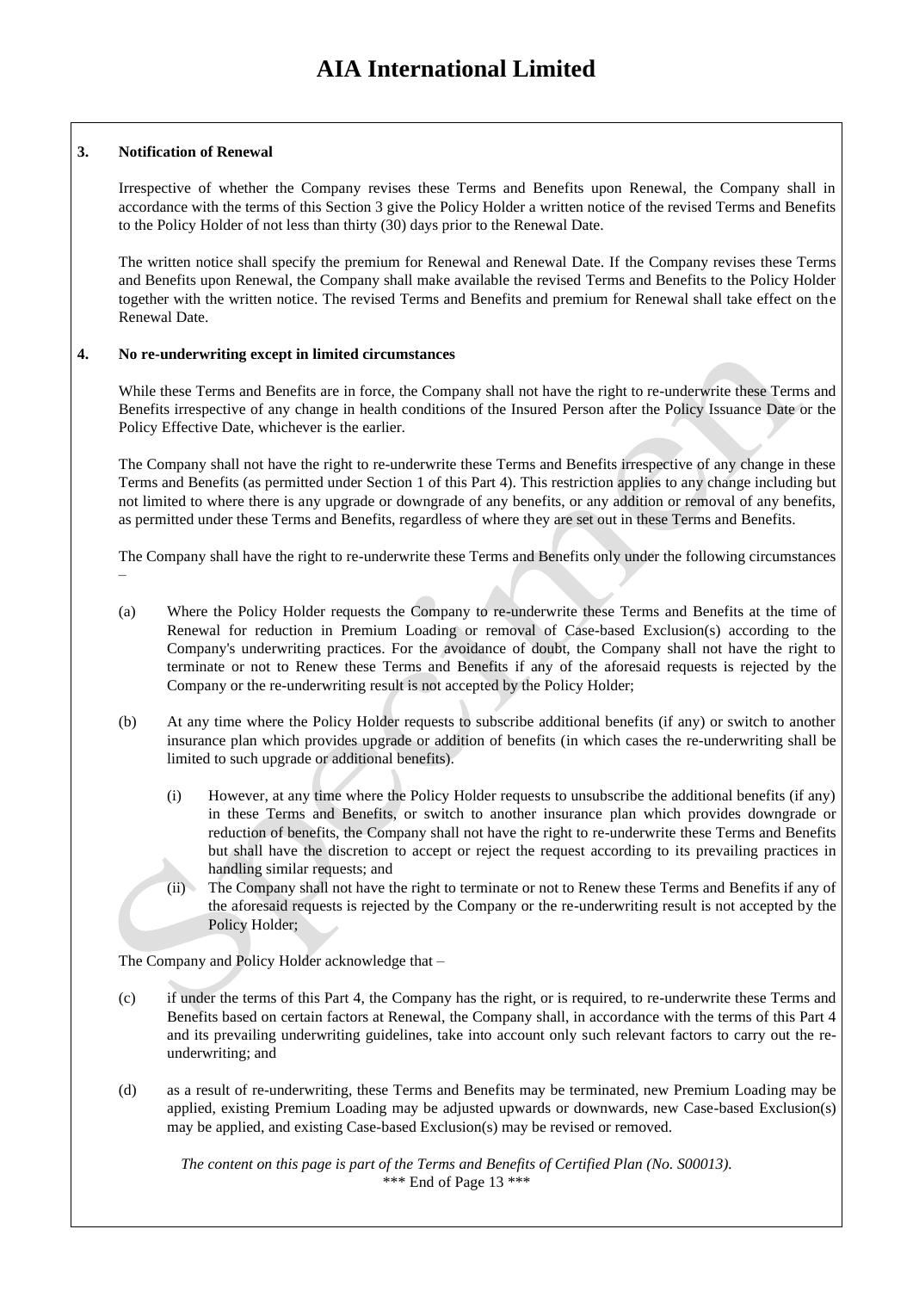#### **3. Notification of Renewal**

–

Irrespective of whether the Company revises these Terms and Benefits upon Renewal, the Company shall in accordance with the terms of this Section 3 give the Policy Holder a written notice of the revised Terms and Benefits to the Policy Holder of not less than thirty (30) days prior to the Renewal Date.

The written notice shall specify the premium for Renewal and Renewal Date. If the Company revises these Terms and Benefits upon Renewal, the Company shall make available the revised Terms and Benefits to the Policy Holder together with the written notice. The revised Terms and Benefits and premium for Renewal shall take effect on the Renewal Date.

#### **4. No re-underwriting except in limited circumstances**

While these Terms and Benefits are in force, the Company shall not have the right to re-underwrite these Terms and Benefits irrespective of any change in health conditions of the Insured Person after the Policy Issuance Date or the Policy Effective Date, whichever is the earlier.

The Company shall not have the right to re-underwrite these Terms and Benefits irrespective of any change in these Terms and Benefits (as permitted under Section 1 of this Part 4). This restriction applies to any change including but not limited to where there is any upgrade or downgrade of any benefits, or any addition or removal of any benefits, as permitted under these Terms and Benefits, regardless of where they are set out in these Terms and Benefits.

The Company shall have the right to re-underwrite these Terms and Benefits only under the following circumstances

- (a) Where the Policy Holder requests the Company to re-underwrite these Terms and Benefits at the time of Renewal for reduction in Premium Loading or removal of Case-based Exclusion(s) according to the Company's underwriting practices. For the avoidance of doubt, the Company shall not have the right to terminate or not to Renew these Terms and Benefits if any of the aforesaid requests is rejected by the Company or the re-underwriting result is not accepted by the Policy Holder;
- (b) At any time where the Policy Holder requests to subscribe additional benefits (if any) or switch to another insurance plan which provides upgrade or addition of benefits (in which cases the re-underwriting shall be limited to such upgrade or additional benefits).
	- (i) However, at any time where the Policy Holder requests to unsubscribe the additional benefits (if any) in these Terms and Benefits, or switch to another insurance plan which provides downgrade or reduction of benefits, the Company shall not have the right to re-underwrite these Terms and Benefits but shall have the discretion to accept or reject the request according to its prevailing practices in handling similar requests; and
	- (ii) The Company shall not have the right to terminate or not to Renew these Terms and Benefits if any of the aforesaid requests is rejected by the Company or the re-underwriting result is not accepted by the Policy Holder;

The Company and Policy Holder acknowledge that –

- (c) if under the terms of this Part 4, the Company has the right, or is required, to re-underwrite these Terms and Benefits based on certain factors at Renewal, the Company shall, in accordance with the terms of this Part 4 and its prevailing underwriting guidelines, take into account only such relevant factors to carry out the reunderwriting; and
- (d) as a result of re-underwriting, these Terms and Benefits may be terminated, new Premium Loading may be applied, existing Premium Loading may be adjusted upwards or downwards, new Case-based Exclusion(s) may be applied, and existing Case-based Exclusion(s) may be revised or removed.

*The content on this page is part of the Terms and Benefits of Certified Plan (No. S00013).* \*\*\* End of Page 13 \*\*\*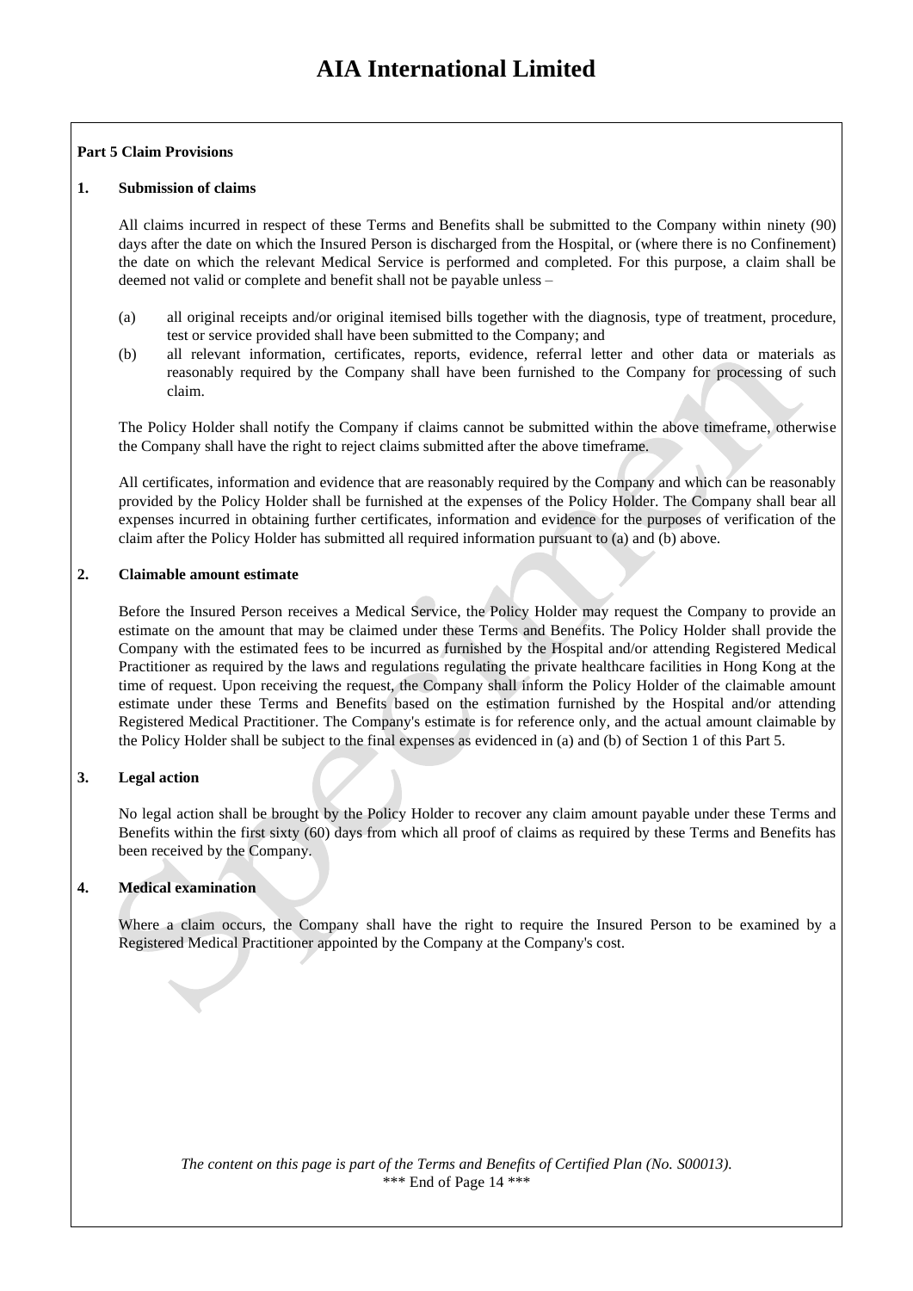#### <span id="page-13-0"></span>**Part 5 Claim Provisions**

#### **1. Submission of claims**

All claims incurred in respect of these Terms and Benefits shall be submitted to the Company within ninety (90) days after the date on which the Insured Person is discharged from the Hospital, or (where there is no Confinement) the date on which the relevant Medical Service is performed and completed. For this purpose, a claim shall be deemed not valid or complete and benefit shall not be payable unless –

- (a) all original receipts and/or original itemised bills together with the diagnosis, type of treatment, procedure, test or service provided shall have been submitted to the Company; and
- (b) all relevant information, certificates, reports, evidence, referral letter and other data or materials as reasonably required by the Company shall have been furnished to the Company for processing of such claim.

The Policy Holder shall notify the Company if claims cannot be submitted within the above timeframe, otherwise the Company shall have the right to reject claims submitted after the above timeframe.

All certificates, information and evidence that are reasonably required by the Company and which can be reasonably provided by the Policy Holder shall be furnished at the expenses of the Policy Holder. The Company shall bear all expenses incurred in obtaining further certificates, information and evidence for the purposes of verification of the claim after the Policy Holder has submitted all required information pursuant to (a) and (b) above.

#### **2. Claimable amount estimate**

Before the Insured Person receives a Medical Service, the Policy Holder may request the Company to provide an estimate on the amount that may be claimed under these Terms and Benefits. The Policy Holder shall provide the Company with the estimated fees to be incurred as furnished by the Hospital and/or attending Registered Medical Practitioner as required by the laws and regulations regulating the private healthcare facilities in Hong Kong at the time of request. Upon receiving the request, the Company shall inform the Policy Holder of the claimable amount estimate under these Terms and Benefits based on the estimation furnished by the Hospital and/or attending Registered Medical Practitioner. The Company's estimate is for reference only, and the actual amount claimable by the Policy Holder shall be subject to the final expenses as evidenced in (a) and (b) of Section 1 of this Part 5.

#### **3. Legal action**

No legal action shall be brought by the Policy Holder to recover any claim amount payable under these Terms and Benefits within the first sixty (60) days from which all proof of claims as required by these Terms and Benefits has been received by the Company.

#### **4. Medical examination**

Where a claim occurs, the Company shall have the right to require the Insured Person to be examined by a Registered Medical Practitioner appointed by the Company at the Company's cost.

*The content on this page is part of the Terms and Benefits of Certified Plan (No. S00013).* \*\*\* End of Page 14 \*\*\*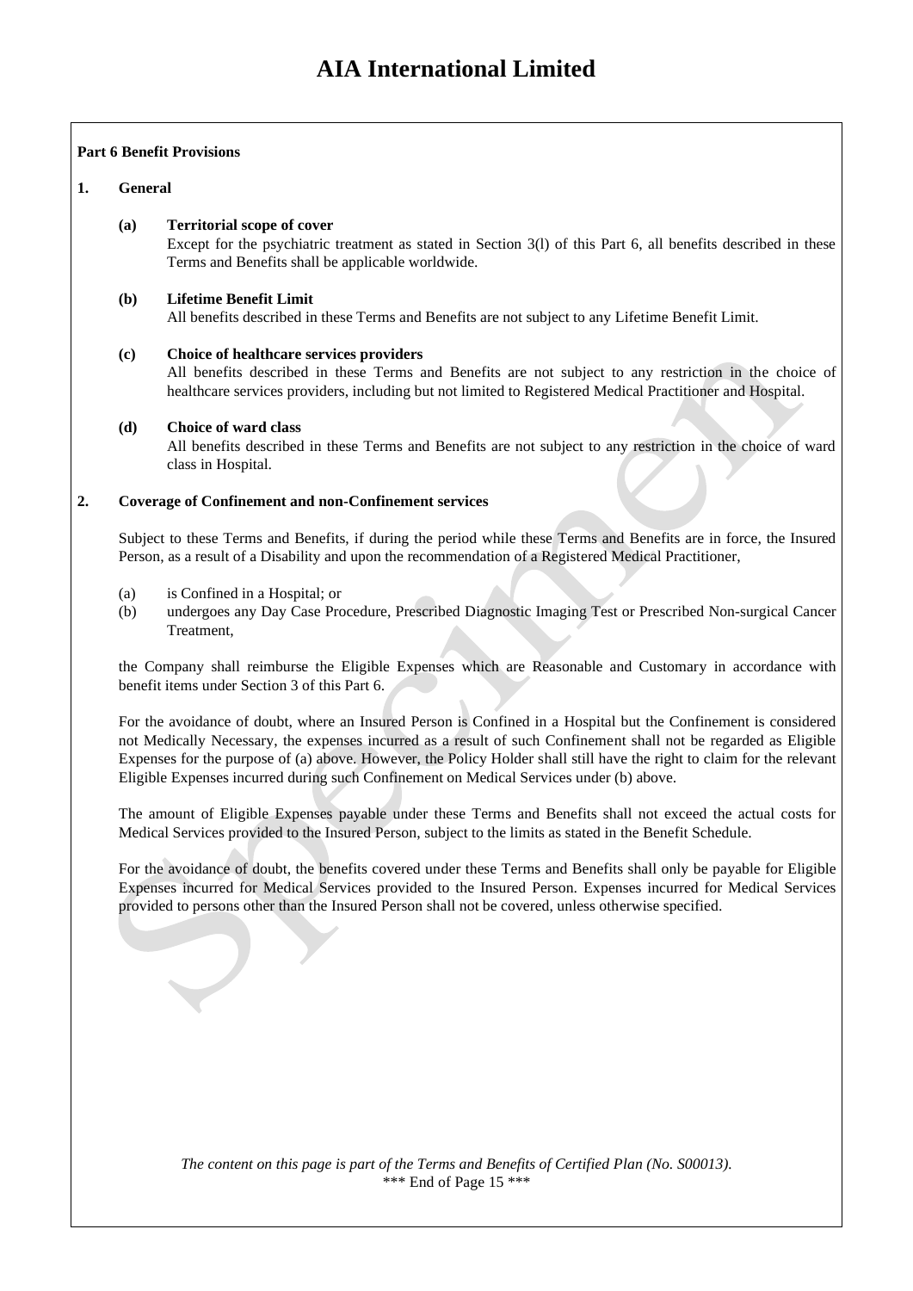#### <span id="page-14-0"></span>**Part 6 Benefit Provisions**

#### **1. General**

#### **(a) Territorial scope of cover**

Except for the psychiatric treatment as stated in Section 3(l) of this Part 6, all benefits described in these Terms and Benefits shall be applicable worldwide.

#### **(b) Lifetime Benefit Limit**

All benefits described in these Terms and Benefits are not subject to any Lifetime Benefit Limit.

#### **(c) Choice of healthcare services providers**

All benefits described in these Terms and Benefits are not subject to any restriction in the choice of healthcare services providers, including but not limited to Registered Medical Practitioner and Hospital.

#### **(d) Choice of ward class**

All benefits described in these Terms and Benefits are not subject to any restriction in the choice of ward class in Hospital.

#### **2. Coverage of Confinement and non-Confinement services**

Subject to these Terms and Benefits, if during the period while these Terms and Benefits are in force, the Insured Person, as a result of a Disability and upon the recommendation of a Registered Medical Practitioner,

- (a) is Confined in a Hospital; or
- (b) undergoes any Day Case Procedure, Prescribed Diagnostic Imaging Test or Prescribed Non-surgical Cancer Treatment,

the Company shall reimburse the Eligible Expenses which are Reasonable and Customary in accordance with benefit items under Section 3 of this Part 6.

For the avoidance of doubt, where an Insured Person is Confined in a Hospital but the Confinement is considered not Medically Necessary, the expenses incurred as a result of such Confinement shall not be regarded as Eligible Expenses for the purpose of (a) above. However, the Policy Holder shall still have the right to claim for the relevant Eligible Expenses incurred during such Confinement on Medical Services under (b) above.

The amount of Eligible Expenses payable under these Terms and Benefits shall not exceed the actual costs for Medical Services provided to the Insured Person, subject to the limits as stated in the Benefit Schedule.

For the avoidance of doubt, the benefits covered under these Terms and Benefits shall only be payable for Eligible Expenses incurred for Medical Services provided to the Insured Person. Expenses incurred for Medical Services provided to persons other than the Insured Person shall not be covered, unless otherwise specified.

*The content on this page is part of the Terms and Benefits of Certified Plan (No. S00013).* \*\*\* End of Page 15 \*\*\*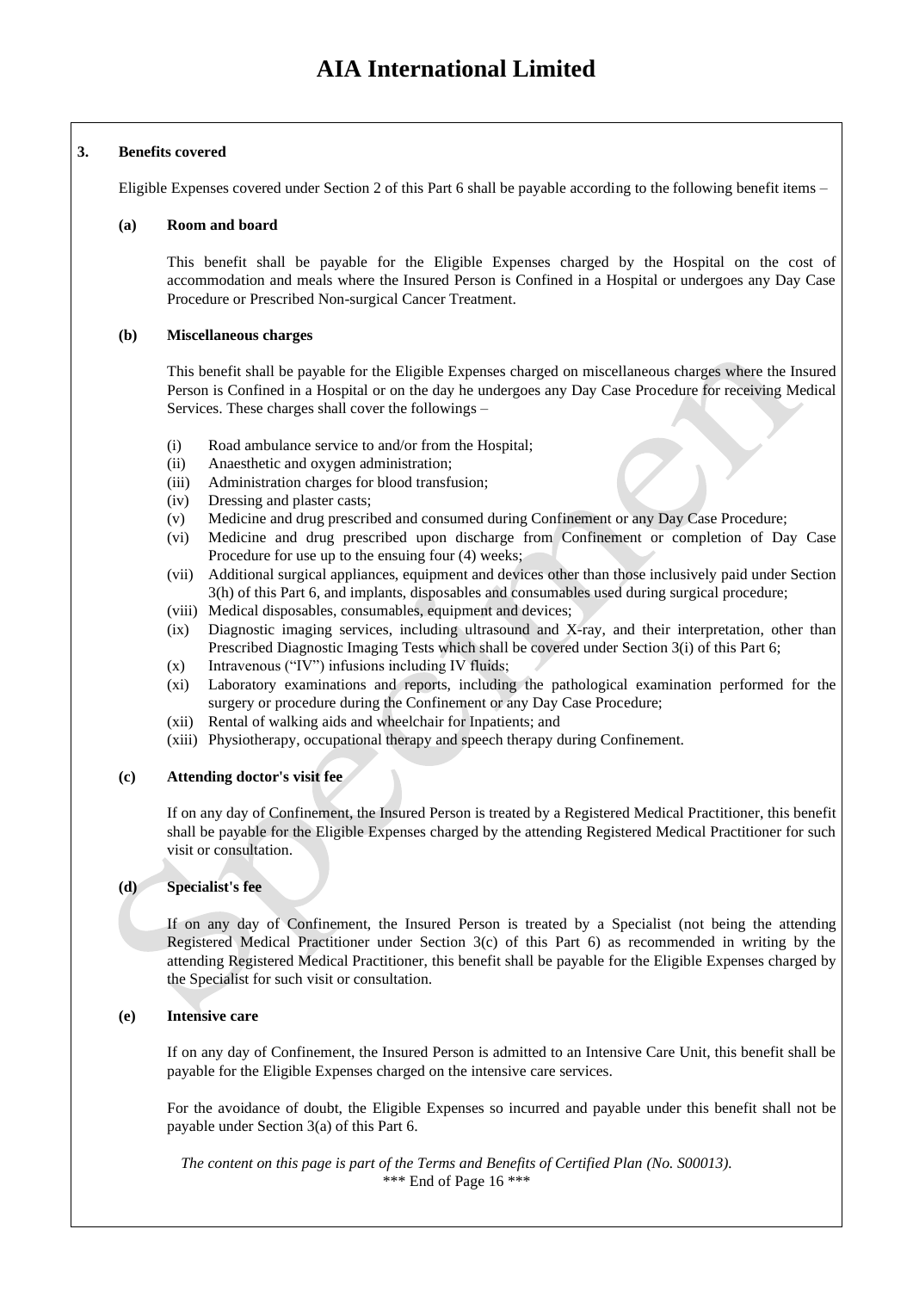#### **3. Benefits covered**

Eligible Expenses covered under Section 2 of this Part 6 shall be payable according to the following benefit items –

#### **(a) Room and board**

This benefit shall be payable for the Eligible Expenses charged by the Hospital on the cost of accommodation and meals where the Insured Person is Confined in a Hospital or undergoes any Day Case Procedure or Prescribed Non-surgical Cancer Treatment.

#### **(b) Miscellaneous charges**

This benefit shall be payable for the Eligible Expenses charged on miscellaneous charges where the Insured Person is Confined in a Hospital or on the day he undergoes any Day Case Procedure for receiving Medical Services. These charges shall cover the followings –

- (i) Road ambulance service to and/or from the Hospital;
- (ii) Anaesthetic and oxygen administration;
- (iii) Administration charges for blood transfusion;
- (iv) Dressing and plaster casts;
- (v) Medicine and drug prescribed and consumed during Confinement or any Day Case Procedure;
- (vi) Medicine and drug prescribed upon discharge from Confinement or completion of Day Case Procedure for use up to the ensuing four (4) weeks;
- (vii) Additional surgical appliances, equipment and devices other than those inclusively paid under Section 3(h) of this Part 6, and implants, disposables and consumables used during surgical procedure;
- (viii) Medical disposables, consumables, equipment and devices;
- (ix) Diagnostic imaging services, including ultrasound and X-ray, and their interpretation, other than Prescribed Diagnostic Imaging Tests which shall be covered under Section 3(i) of this Part 6;
- $(x)$  Intravenous ("IV") infusions including IV fluids;
- (xi) Laboratory examinations and reports, including the pathological examination performed for the surgery or procedure during the Confinement or any Day Case Procedure;
- (xii) Rental of walking aids and wheelchair for Inpatients; and
- (xiii) Physiotherapy, occupational therapy and speech therapy during Confinement.

#### **(c) Attending doctor's visit fee**

If on any day of Confinement, the Insured Person is treated by a Registered Medical Practitioner, this benefit shall be payable for the Eligible Expenses charged by the attending Registered Medical Practitioner for such visit or consultation.

#### **(d) Specialist's fee**

If on any day of Confinement, the Insured Person is treated by a Specialist (not being the attending Registered Medical Practitioner under Section 3(c) of this Part 6) as recommended in writing by the attending Registered Medical Practitioner, this benefit shall be payable for the Eligible Expenses charged by the Specialist for such visit or consultation.

#### **(e) Intensive care**

If on any day of Confinement, the Insured Person is admitted to an Intensive Care Unit, this benefit shall be payable for the Eligible Expenses charged on the intensive care services.

For the avoidance of doubt, the Eligible Expenses so incurred and payable under this benefit shall not be payable under Section 3(a) of this Part 6.

*The content on this page is part of the Terms and Benefits of Certified Plan (No. S00013).* \*\*\* End of Page 16 \*\*\*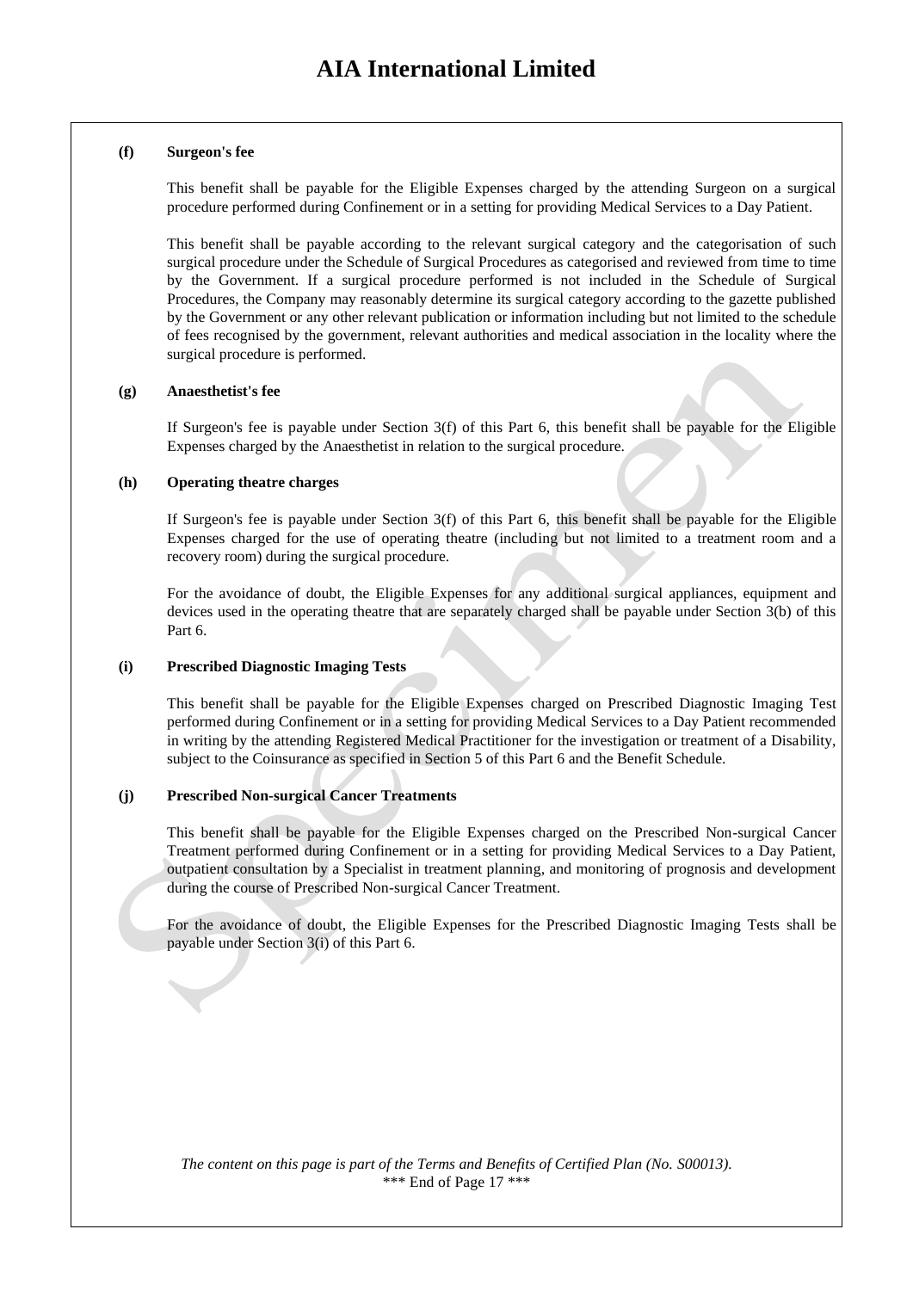#### **(f) Surgeon's fee**

This benefit shall be payable for the Eligible Expenses charged by the attending Surgeon on a surgical procedure performed during Confinement or in a setting for providing Medical Services to a Day Patient.

This benefit shall be payable according to the relevant surgical category and the categorisation of such surgical procedure under the Schedule of Surgical Procedures as categorised and reviewed from time to time by the Government. If a surgical procedure performed is not included in the Schedule of Surgical Procedures, the Company may reasonably determine its surgical category according to the gazette published by the Government or any other relevant publication or information including but not limited to the schedule of fees recognised by the government, relevant authorities and medical association in the locality where the surgical procedure is performed.

#### **(g) Anaesthetist's fee**

If Surgeon's fee is payable under Section 3(f) of this Part 6, this benefit shall be payable for the Eligible Expenses charged by the Anaesthetist in relation to the surgical procedure.

#### **(h) Operating theatre charges**

If Surgeon's fee is payable under Section 3(f) of this Part 6, this benefit shall be payable for the Eligible Expenses charged for the use of operating theatre (including but not limited to a treatment room and a recovery room) during the surgical procedure.

For the avoidance of doubt, the Eligible Expenses for any additional surgical appliances, equipment and devices used in the operating theatre that are separately charged shall be payable under Section 3(b) of this Part 6.

#### **(i) Prescribed Diagnostic Imaging Tests**

This benefit shall be payable for the Eligible Expenses charged on Prescribed Diagnostic Imaging Test performed during Confinement or in a setting for providing Medical Services to a Day Patient recommended in writing by the attending Registered Medical Practitioner for the investigation or treatment of a Disability, subject to the Coinsurance as specified in Section 5 of this Part 6 and the Benefit Schedule.

#### **(j) Prescribed Non-surgical Cancer Treatments**

This benefit shall be payable for the Eligible Expenses charged on the Prescribed Non-surgical Cancer Treatment performed during Confinement or in a setting for providing Medical Services to a Day Patient, outpatient consultation by a Specialist in treatment planning, and monitoring of prognosis and development during the course of Prescribed Non-surgical Cancer Treatment.

For the avoidance of doubt, the Eligible Expenses for the Prescribed Diagnostic Imaging Tests shall be payable under Section 3(i) of this Part 6.

*The content on this page is part of the Terms and Benefits of Certified Plan (No. S00013).* \*\*\* End of Page 17 \*\*\*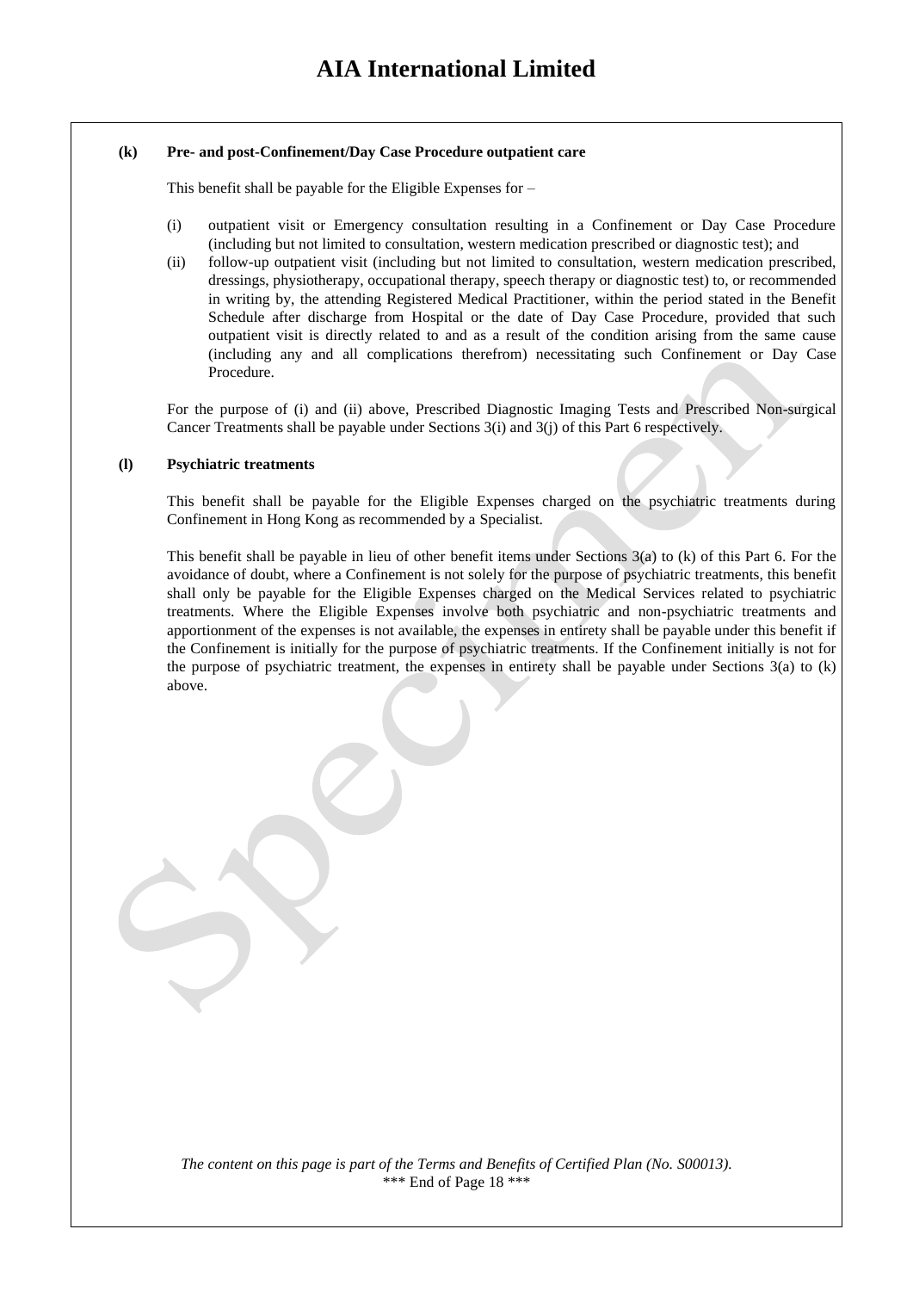#### **(k) Pre- and post-Confinement/Day Case Procedure outpatient care**

This benefit shall be payable for the Eligible Expenses for –

- (i) outpatient visit or Emergency consultation resulting in a Confinement or Day Case Procedure (including but not limited to consultation, western medication prescribed or diagnostic test); and
- (ii) follow-up outpatient visit (including but not limited to consultation, western medication prescribed, dressings, physiotherapy, occupational therapy, speech therapy or diagnostic test) to, or recommended in writing by, the attending Registered Medical Practitioner, within the period stated in the Benefit Schedule after discharge from Hospital or the date of Day Case Procedure, provided that such outpatient visit is directly related to and as a result of the condition arising from the same cause (including any and all complications therefrom) necessitating such Confinement or Day Case Procedure.

For the purpose of (i) and (ii) above, Prescribed Diagnostic Imaging Tests and Prescribed Non-surgical Cancer Treatments shall be payable under Sections 3(i) and 3(j) of this Part 6 respectively.

#### **(l) Psychiatric treatments**

This benefit shall be payable for the Eligible Expenses charged on the psychiatric treatments during Confinement in Hong Kong as recommended by a Specialist.

This benefit shall be payable in lieu of other benefit items under Sections 3(a) to (k) of this Part 6. For the avoidance of doubt, where a Confinement is not solely for the purpose of psychiatric treatments, this benefit shall only be payable for the Eligible Expenses charged on the Medical Services related to psychiatric treatments. Where the Eligible Expenses involve both psychiatric and non-psychiatric treatments and apportionment of the expenses is not available, the expenses in entirety shall be payable under this benefit if the Confinement is initially for the purpose of psychiatric treatments. If the Confinement initially is not for the purpose of psychiatric treatment, the expenses in entirety shall be payable under Sections 3(a) to (k) above.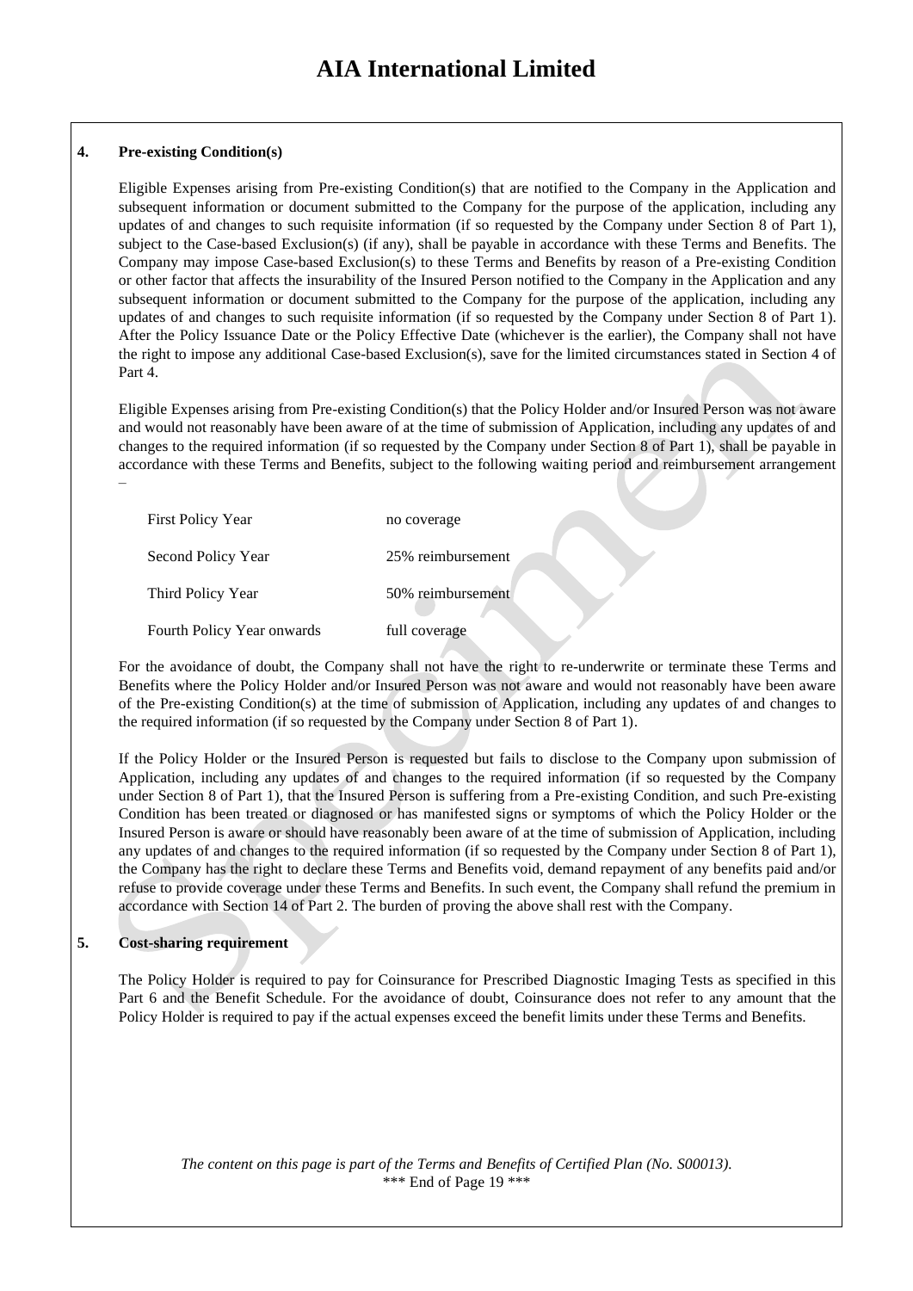#### **4. Pre-existing Condition(s)**

Eligible Expenses arising from Pre-existing Condition(s) that are notified to the Company in the Application and subsequent information or document submitted to the Company for the purpose of the application, including any updates of and changes to such requisite information (if so requested by the Company under Section 8 of Part 1), subject to the Case-based Exclusion(s) (if any), shall be payable in accordance with these Terms and Benefits. The Company may impose Case-based Exclusion(s) to these Terms and Benefits by reason of a Pre-existing Condition or other factor that affects the insurability of the Insured Person notified to the Company in the Application and any subsequent information or document submitted to the Company for the purpose of the application, including any updates of and changes to such requisite information (if so requested by the Company under Section 8 of Part 1). After the Policy Issuance Date or the Policy Effective Date (whichever is the earlier), the Company shall not have the right to impose any additional Case-based Exclusion(s), save for the limited circumstances stated in Section 4 of Part 4.

Eligible Expenses arising from Pre-existing Condition(s) that the Policy Holder and/or Insured Person was not aware and would not reasonably have been aware of at the time of submission of Application, including any updates of and changes to the required information (if so requested by the Company under Section 8 of Part 1), shall be payable in accordance with these Terms and Benefits, subject to the following waiting period and reimbursement arrangement –

| <b>First Policy Year</b>   | no coverage       |
|----------------------------|-------------------|
| Second Policy Year         | 25% reimbursement |
| Third Policy Year          | 50% reimbursement |
| Fourth Policy Year onwards | full coverage     |

For the avoidance of doubt, the Company shall not have the right to re-underwrite or terminate these Terms and Benefits where the Policy Holder and/or Insured Person was not aware and would not reasonably have been aware of the Pre-existing Condition(s) at the time of submission of Application, including any updates of and changes to the required information (if so requested by the Company under Section 8 of Part 1).

If the Policy Holder or the Insured Person is requested but fails to disclose to the Company upon submission of Application, including any updates of and changes to the required information (if so requested by the Company under Section 8 of Part 1), that the Insured Person is suffering from a Pre-existing Condition, and such Pre-existing Condition has been treated or diagnosed or has manifested signs or symptoms of which the Policy Holder or the Insured Person is aware or should have reasonably been aware of at the time of submission of Application, including any updates of and changes to the required information (if so requested by the Company under Section 8 of Part 1), the Company has the right to declare these Terms and Benefits void, demand repayment of any benefits paid and/or refuse to provide coverage under these Terms and Benefits. In such event, the Company shall refund the premium in accordance with Section 14 of Part 2. The burden of proving the above shall rest with the Company.

#### **5. Cost-sharing requirement**

The Policy Holder is required to pay for Coinsurance for Prescribed Diagnostic Imaging Tests as specified in this Part 6 and the Benefit Schedule. For the avoidance of doubt, Coinsurance does not refer to any amount that the Policy Holder is required to pay if the actual expenses exceed the benefit limits under these Terms and Benefits.

*The content on this page is part of the Terms and Benefits of Certified Plan (No. S00013).* \*\*\* End of Page 19 \*\*\*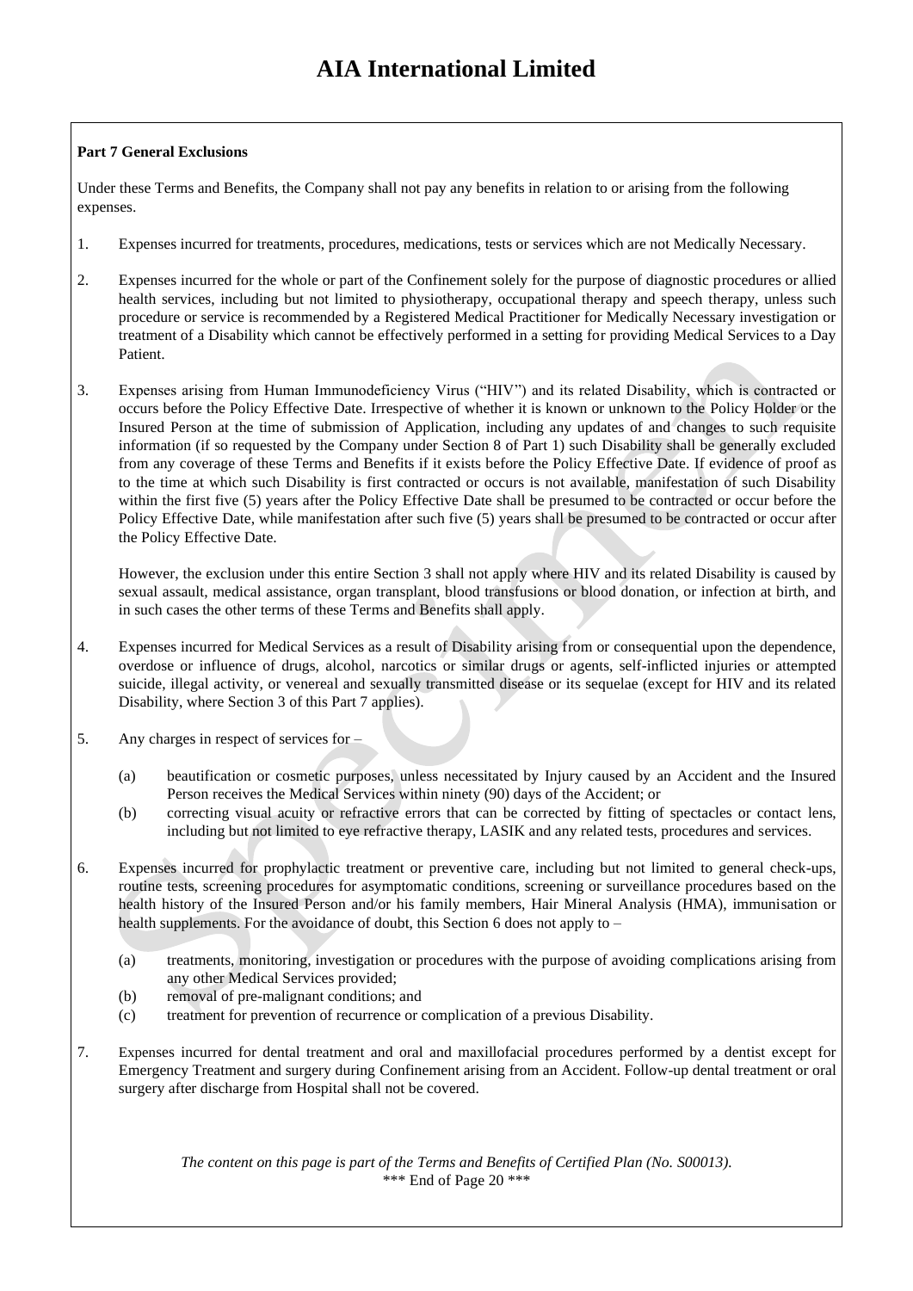# <span id="page-19-0"></span>**Part 7 General Exclusions**

Under these Terms and Benefits, the Company shall not pay any benefits in relation to or arising from the following expenses.

- 1. Expenses incurred for treatments, procedures, medications, tests or services which are not Medically Necessary.
- 2. Expenses incurred for the whole or part of the Confinement solely for the purpose of diagnostic procedures or allied health services, including but not limited to physiotherapy, occupational therapy and speech therapy, unless such procedure or service is recommended by a Registered Medical Practitioner for Medically Necessary investigation or treatment of a Disability which cannot be effectively performed in a setting for providing Medical Services to a Day Patient.
- 3. Expenses arising from Human Immunodeficiency Virus ("HIV") and its related Disability, which is contracted or occurs before the Policy Effective Date. Irrespective of whether it is known or unknown to the Policy Holder or the Insured Person at the time of submission of Application, including any updates of and changes to such requisite information (if so requested by the Company under Section 8 of Part 1) such Disability shall be generally excluded from any coverage of these Terms and Benefits if it exists before the Policy Effective Date. If evidence of proof as to the time at which such Disability is first contracted or occurs is not available, manifestation of such Disability within the first five (5) years after the Policy Effective Date shall be presumed to be contracted or occur before the Policy Effective Date, while manifestation after such five (5) years shall be presumed to be contracted or occur after the Policy Effective Date.

However, the exclusion under this entire Section 3 shall not apply where HIV and its related Disability is caused by sexual assault, medical assistance, organ transplant, blood transfusions or blood donation, or infection at birth, and in such cases the other terms of these Terms and Benefits shall apply.

- 4. Expenses incurred for Medical Services as a result of Disability arising from or consequential upon the dependence, overdose or influence of drugs, alcohol, narcotics or similar drugs or agents, self-inflicted injuries or attempted suicide, illegal activity, or venereal and sexually transmitted disease or its sequelae (except for HIV and its related Disability, where Section 3 of this Part 7 applies).
- 5. Any charges in respect of services for
	- (a) beautification or cosmetic purposes, unless necessitated by Injury caused by an Accident and the Insured Person receives the Medical Services within ninety (90) days of the Accident; or
	- (b) correcting visual acuity or refractive errors that can be corrected by fitting of spectacles or contact lens, including but not limited to eye refractive therapy, LASIK and any related tests, procedures and services.
- 6. Expenses incurred for prophylactic treatment or preventive care, including but not limited to general check-ups, routine tests, screening procedures for asymptomatic conditions, screening or surveillance procedures based on the health history of the Insured Person and/or his family members, Hair Mineral Analysis (HMA), immunisation or health supplements. For the avoidance of doubt, this Section 6 does not apply to –
	- (a) treatments, monitoring, investigation or procedures with the purpose of avoiding complications arising from any other Medical Services provided;
	- (b) removal of pre-malignant conditions; and
	- (c) treatment for prevention of recurrence or complication of a previous Disability.
- 7. Expenses incurred for dental treatment and oral and maxillofacial procedures performed by a dentist except for Emergency Treatment and surgery during Confinement arising from an Accident. Follow-up dental treatment or oral surgery after discharge from Hospital shall not be covered.

*The content on this page is part of the Terms and Benefits of Certified Plan (No. S00013).* \*\*\* End of Page 20 \*\*\*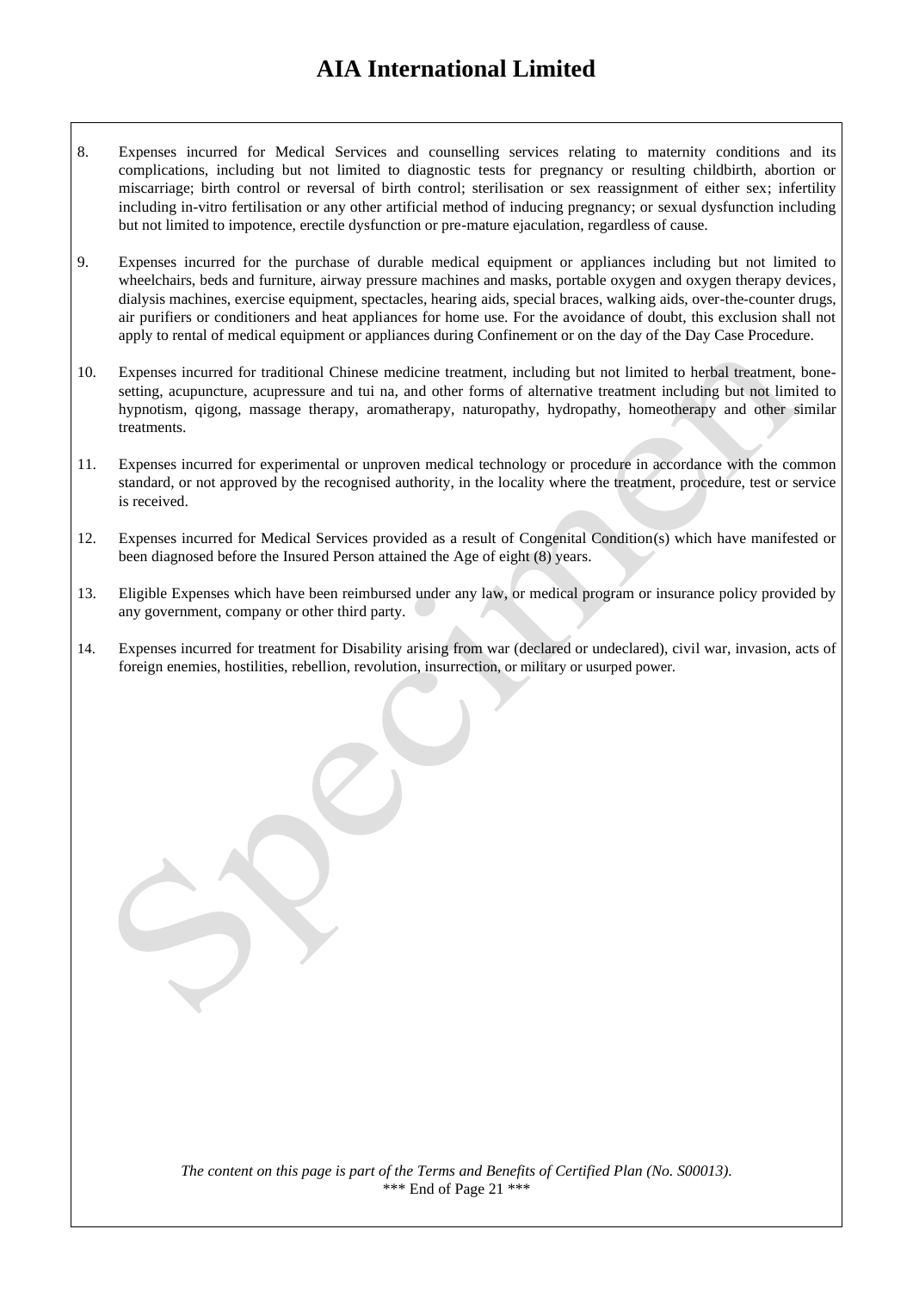- 8. Expenses incurred for Medical Services and counselling services relating to maternity conditions and its complications, including but not limited to diagnostic tests for pregnancy or resulting childbirth, abortion or miscarriage; birth control or reversal of birth control; sterilisation or sex reassignment of either sex; infertility including in-vitro fertilisation or any other artificial method of inducing pregnancy; or sexual dysfunction including but not limited to impotence, erectile dysfunction or pre-mature ejaculation, regardless of cause.
- 9. Expenses incurred for the purchase of durable medical equipment or appliances including but not limited to wheelchairs, beds and furniture, airway pressure machines and masks, portable oxygen and oxygen therapy devices, dialysis machines, exercise equipment, spectacles, hearing aids, special braces, walking aids, over-the-counter drugs, air purifiers or conditioners and heat appliances for home use. For the avoidance of doubt, this exclusion shall not apply to rental of medical equipment or appliances during Confinement or on the day of the Day Case Procedure.
- 10. Expenses incurred for traditional Chinese medicine treatment, including but not limited to herbal treatment, bonesetting, acupuncture, acupressure and tui na, and other forms of alternative treatment including but not limited to hypnotism, qigong, massage therapy, aromatherapy, naturopathy, hydropathy, homeotherapy and other similar treatments.
- 11. Expenses incurred for experimental or unproven medical technology or procedure in accordance with the common standard, or not approved by the recognised authority, in the locality where the treatment, procedure, test or service is received.
- 12. Expenses incurred for Medical Services provided as a result of Congenital Condition(s) which have manifested or been diagnosed before the Insured Person attained the Age of eight (8) years.
- 13. Eligible Expenses which have been reimbursed under any law, or medical program or insurance policy provided by any government, company or other third party.
- 14. Expenses incurred for treatment for Disability arising from war (declared or undeclared), civil war, invasion, acts of foreign enemies, hostilities, rebellion, revolution, insurrection, or military or usurped power.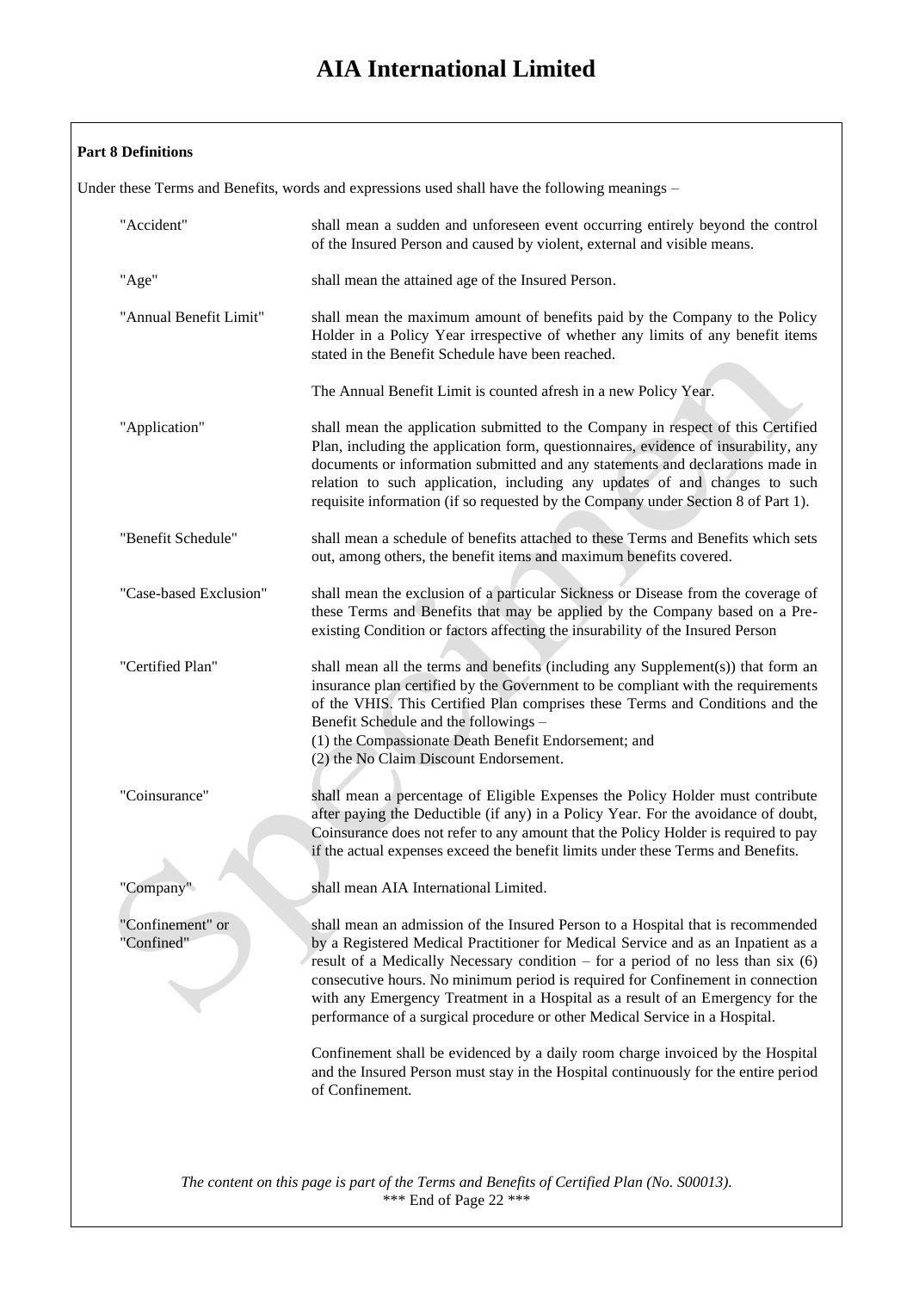# <span id="page-21-0"></span>**Part 8 Definitions**

Under these Terms and Benefits, words and expressions used shall have the following meanings –

| "Accident"                     | shall mean a sudden and unforeseen event occurring entirely beyond the control<br>of the Insured Person and caused by violent, external and visible means.                                                                                                                                                                                                                                                                                                                                                      |
|--------------------------------|-----------------------------------------------------------------------------------------------------------------------------------------------------------------------------------------------------------------------------------------------------------------------------------------------------------------------------------------------------------------------------------------------------------------------------------------------------------------------------------------------------------------|
| "Age"                          | shall mean the attained age of the Insured Person.                                                                                                                                                                                                                                                                                                                                                                                                                                                              |
| "Annual Benefit Limit"         | shall mean the maximum amount of benefits paid by the Company to the Policy<br>Holder in a Policy Year irrespective of whether any limits of any benefit items<br>stated in the Benefit Schedule have been reached.                                                                                                                                                                                                                                                                                             |
|                                | The Annual Benefit Limit is counted afresh in a new Policy Year.                                                                                                                                                                                                                                                                                                                                                                                                                                                |
| "Application"                  | shall mean the application submitted to the Company in respect of this Certified<br>Plan, including the application form, questionnaires, evidence of insurability, any<br>documents or information submitted and any statements and declarations made in<br>relation to such application, including any updates of and changes to such<br>requisite information (if so requested by the Company under Section 8 of Part 1).                                                                                    |
| "Benefit Schedule"             | shall mean a schedule of benefits attached to these Terms and Benefits which sets<br>out, among others, the benefit items and maximum benefits covered.                                                                                                                                                                                                                                                                                                                                                         |
| "Case-based Exclusion"         | shall mean the exclusion of a particular Sickness or Disease from the coverage of<br>these Terms and Benefits that may be applied by the Company based on a Pre-<br>existing Condition or factors affecting the insurability of the Insured Person                                                                                                                                                                                                                                                              |
| "Certified Plan"               | shall mean all the terms and benefits (including any Supplement(s)) that form an<br>insurance plan certified by the Government to be compliant with the requirements<br>of the VHIS. This Certified Plan comprises these Terms and Conditions and the<br>Benefit Schedule and the followings -<br>(1) the Compassionate Death Benefit Endorsement; and<br>(2) the No Claim Discount Endorsement.                                                                                                                |
| "Coinsurance"                  | shall mean a percentage of Eligible Expenses the Policy Holder must contribute<br>after paying the Deductible (if any) in a Policy Year. For the avoidance of doubt,<br>Coinsurance does not refer to any amount that the Policy Holder is required to pay<br>if the actual expenses exceed the benefit limits under these Terms and Benefits.                                                                                                                                                                  |
| "Company"                      | shall mean AIA International Limited.                                                                                                                                                                                                                                                                                                                                                                                                                                                                           |
| "Confinement" or<br>"Confined" | shall mean an admission of the Insured Person to a Hospital that is recommended<br>by a Registered Medical Practitioner for Medical Service and as an Inpatient as a<br>result of a Medically Necessary condition $-$ for a period of no less than six $(6)$<br>consecutive hours. No minimum period is required for Confinement in connection<br>with any Emergency Treatment in a Hospital as a result of an Emergency for the<br>performance of a surgical procedure or other Medical Service in a Hospital. |
|                                | Confinement shall be evidenced by a daily room charge invoiced by the Hospital<br>and the Insured Person must stay in the Hospital continuously for the entire period<br>of Confinement.                                                                                                                                                                                                                                                                                                                        |
|                                |                                                                                                                                                                                                                                                                                                                                                                                                                                                                                                                 |

*The content on this page is part of the Terms and Benefits of Certified Plan (No. S00013).* \*\*\* End of Page 22 \*\*\*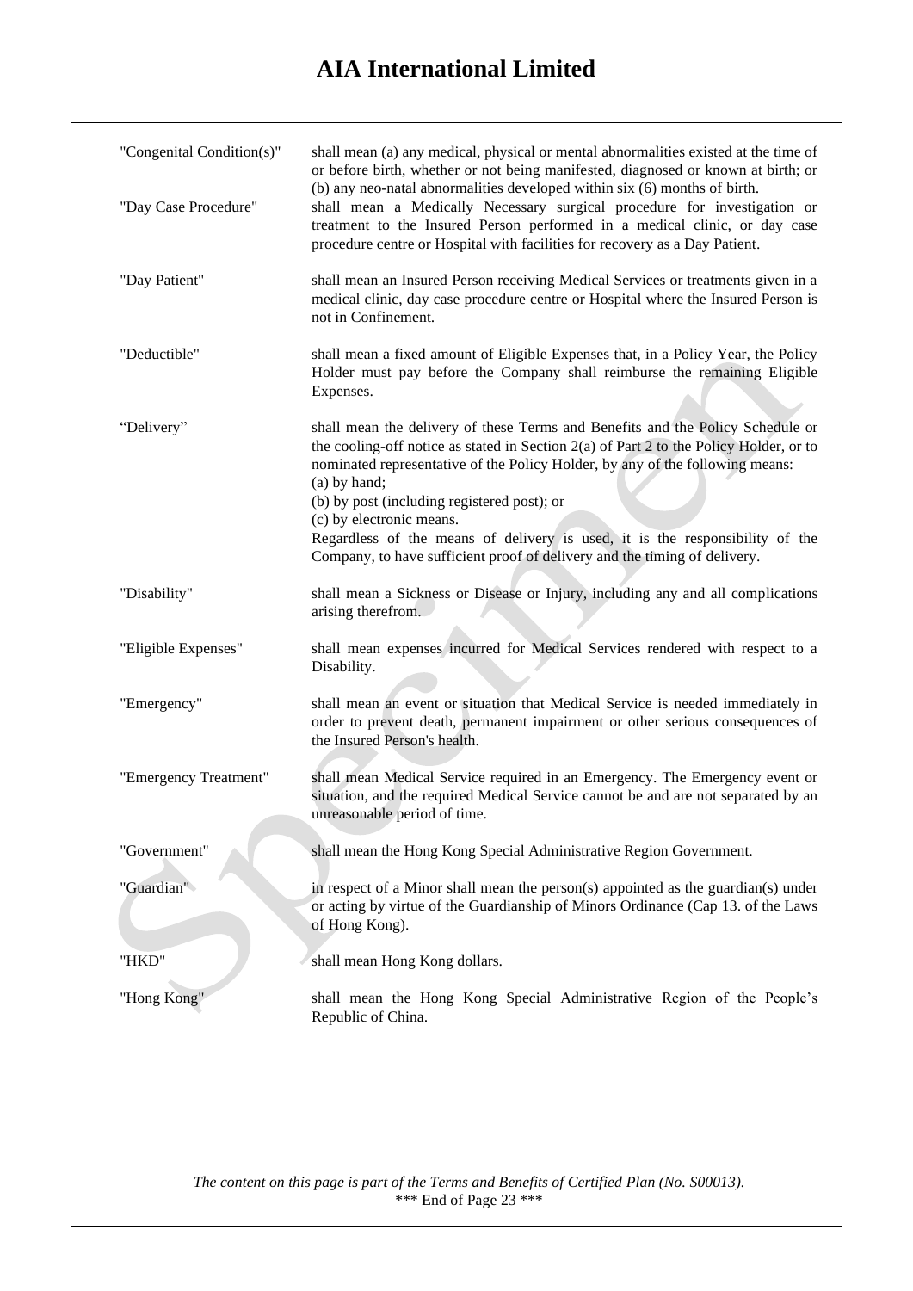| "Congenital Condition(s)"<br>"Day Case Procedure" | shall mean (a) any medical, physical or mental abnormalities existed at the time of<br>or before birth, whether or not being manifested, diagnosed or known at birth; or<br>(b) any neo-natal abnormalities developed within six (6) months of birth.<br>shall mean a Medically Necessary surgical procedure for investigation or<br>treatment to the Insured Person performed in a medical clinic, or day case<br>procedure centre or Hospital with facilities for recovery as a Day Patient.                    |
|---------------------------------------------------|-------------------------------------------------------------------------------------------------------------------------------------------------------------------------------------------------------------------------------------------------------------------------------------------------------------------------------------------------------------------------------------------------------------------------------------------------------------------------------------------------------------------|
| "Day Patient"                                     | shall mean an Insured Person receiving Medical Services or treatments given in a<br>medical clinic, day case procedure centre or Hospital where the Insured Person is<br>not in Confinement.                                                                                                                                                                                                                                                                                                                      |
| "Deductible"                                      | shall mean a fixed amount of Eligible Expenses that, in a Policy Year, the Policy<br>Holder must pay before the Company shall reimburse the remaining Eligible<br>Expenses.                                                                                                                                                                                                                                                                                                                                       |
| "Delivery"                                        | shall mean the delivery of these Terms and Benefits and the Policy Schedule or<br>the cooling-off notice as stated in Section 2(a) of Part 2 to the Policy Holder, or to<br>nominated representative of the Policy Holder, by any of the following means:<br>(a) by hand;<br>(b) by post (including registered post); or<br>(c) by electronic means.<br>Regardless of the means of delivery is used, it is the responsibility of the<br>Company, to have sufficient proof of delivery and the timing of delivery. |
| "Disability"                                      | shall mean a Sickness or Disease or Injury, including any and all complications<br>arising therefrom.                                                                                                                                                                                                                                                                                                                                                                                                             |
| "Eligible Expenses"                               | shall mean expenses incurred for Medical Services rendered with respect to a<br>Disability.                                                                                                                                                                                                                                                                                                                                                                                                                       |
| "Emergency"                                       | shall mean an event or situation that Medical Service is needed immediately in<br>order to prevent death, permanent impairment or other serious consequences of<br>the Insured Person's health.                                                                                                                                                                                                                                                                                                                   |
| "Emergency Treatment"                             | shall mean Medical Service required in an Emergency. The Emergency event or<br>situation, and the required Medical Service cannot be and are not separated by an<br>unreasonable period of time.                                                                                                                                                                                                                                                                                                                  |
| "Government"                                      | shall mean the Hong Kong Special Administrative Region Government.                                                                                                                                                                                                                                                                                                                                                                                                                                                |
| "Guardian"                                        | in respect of a Minor shall mean the person(s) appointed as the guardian(s) under<br>or acting by virtue of the Guardianship of Minors Ordinance (Cap 13. of the Laws<br>of Hong Kong).                                                                                                                                                                                                                                                                                                                           |
| "HKD"                                             | shall mean Hong Kong dollars.                                                                                                                                                                                                                                                                                                                                                                                                                                                                                     |
| "Hong Kong'                                       | shall mean the Hong Kong Special Administrative Region of the People's<br>Republic of China.                                                                                                                                                                                                                                                                                                                                                                                                                      |

*The content on this page is part of the Terms and Benefits of Certified Plan (No. S00013).* \*\*\* End of Page 23 \*\*\*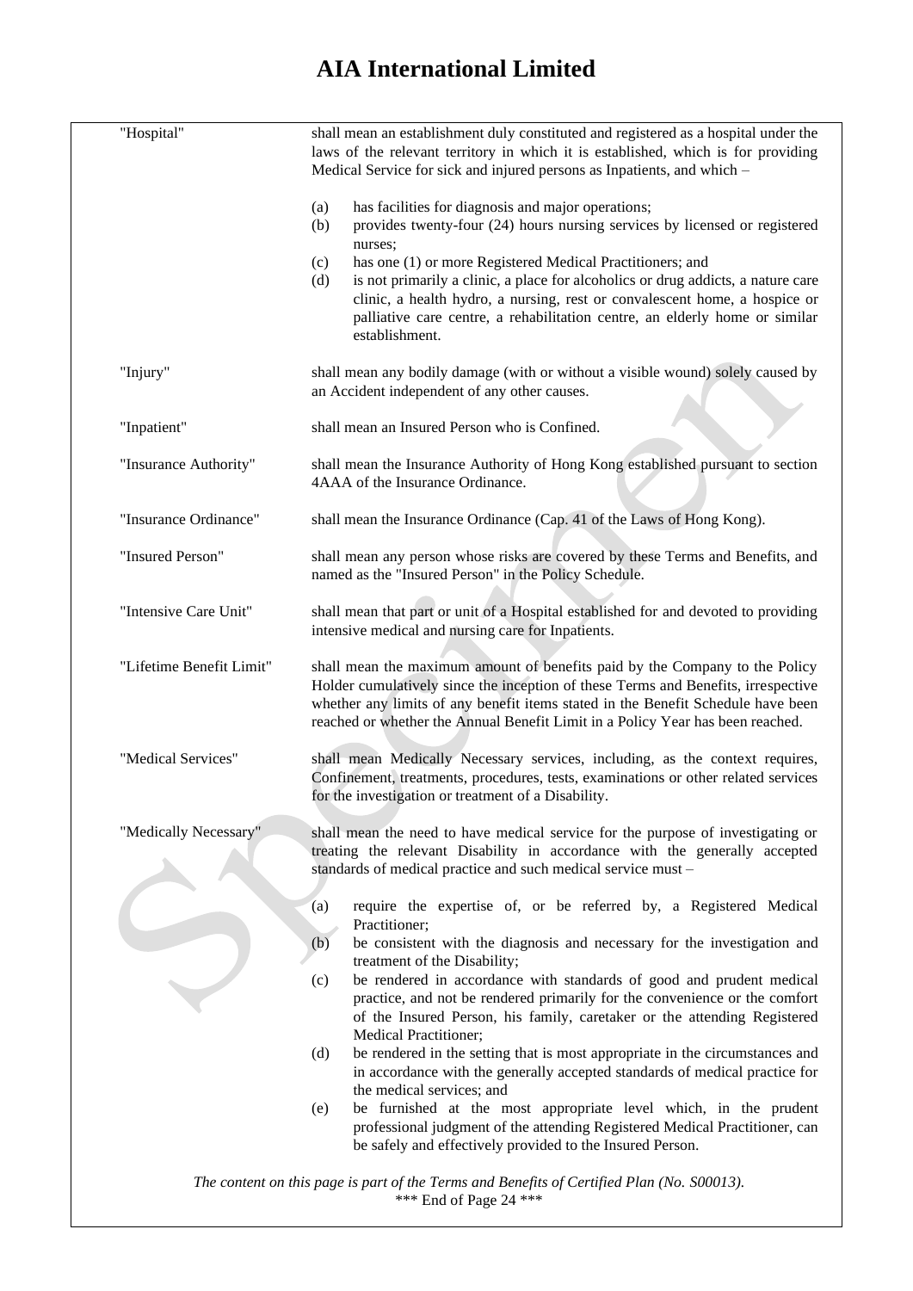| "Hospital"               | shall mean an establishment duly constituted and registered as a hospital under the<br>laws of the relevant territory in which it is established, which is for providing<br>Medical Service for sick and injured persons as Inpatients, and which -                                                                                                                                                                                                                                                     |
|--------------------------|---------------------------------------------------------------------------------------------------------------------------------------------------------------------------------------------------------------------------------------------------------------------------------------------------------------------------------------------------------------------------------------------------------------------------------------------------------------------------------------------------------|
|                          | has facilities for diagnosis and major operations;<br>(a)<br>provides twenty-four (24) hours nursing services by licensed or registered<br>(b)<br>nurses;<br>has one (1) or more Registered Medical Practitioners; and<br>(c)<br>is not primarily a clinic, a place for alcoholics or drug addicts, a nature care<br>(d)<br>clinic, a health hydro, a nursing, rest or convalescent home, a hospice or<br>palliative care centre, a rehabilitation centre, an elderly home or similar<br>establishment. |
| "Injury"                 | shall mean any bodily damage (with or without a visible wound) solely caused by<br>an Accident independent of any other causes.                                                                                                                                                                                                                                                                                                                                                                         |
| "Inpatient"              | shall mean an Insured Person who is Confined.                                                                                                                                                                                                                                                                                                                                                                                                                                                           |
| "Insurance Authority"    | shall mean the Insurance Authority of Hong Kong established pursuant to section<br>4AAA of the Insurance Ordinance.                                                                                                                                                                                                                                                                                                                                                                                     |
| "Insurance Ordinance"    | shall mean the Insurance Ordinance (Cap. 41 of the Laws of Hong Kong).                                                                                                                                                                                                                                                                                                                                                                                                                                  |
| "Insured Person"         | shall mean any person whose risks are covered by these Terms and Benefits, and<br>named as the "Insured Person" in the Policy Schedule.                                                                                                                                                                                                                                                                                                                                                                 |
| "Intensive Care Unit"    | shall mean that part or unit of a Hospital established for and devoted to providing<br>intensive medical and nursing care for Inpatients.                                                                                                                                                                                                                                                                                                                                                               |
| "Lifetime Benefit Limit" | shall mean the maximum amount of benefits paid by the Company to the Policy<br>Holder cumulatively since the inception of these Terms and Benefits, irrespective<br>whether any limits of any benefit items stated in the Benefit Schedule have been<br>reached or whether the Annual Benefit Limit in a Policy Year has been reached.                                                                                                                                                                  |
| "Medical Services"       | shall mean Medically Necessary services, including, as the context requires,<br>Confinement, treatments, procedures, tests, examinations or other related services<br>for the investigation or treatment of a Disability.                                                                                                                                                                                                                                                                               |
| "Medically Necessary"    | shall mean the need to have medical service for the purpose of investigating or<br>treating the relevant Disability in accordance with the generally accepted<br>standards of medical practice and such medical service must -                                                                                                                                                                                                                                                                          |
|                          | require the expertise of, or be referred by, a Registered Medical<br>(a)<br>Practitioner;<br>(b)<br>be consistent with the diagnosis and necessary for the investigation and                                                                                                                                                                                                                                                                                                                            |
|                          | treatment of the Disability;<br>be rendered in accordance with standards of good and prudent medical<br>(c)<br>practice, and not be rendered primarily for the convenience or the comfort<br>of the Insured Person, his family, caretaker or the attending Registered<br>Medical Practitioner;                                                                                                                                                                                                          |
|                          | be rendered in the setting that is most appropriate in the circumstances and<br>(d)<br>in accordance with the generally accepted standards of medical practice for                                                                                                                                                                                                                                                                                                                                      |
|                          | the medical services; and<br>be furnished at the most appropriate level which, in the prudent<br>(e)                                                                                                                                                                                                                                                                                                                                                                                                    |

\*\*\* End of Page 24 \*\*\*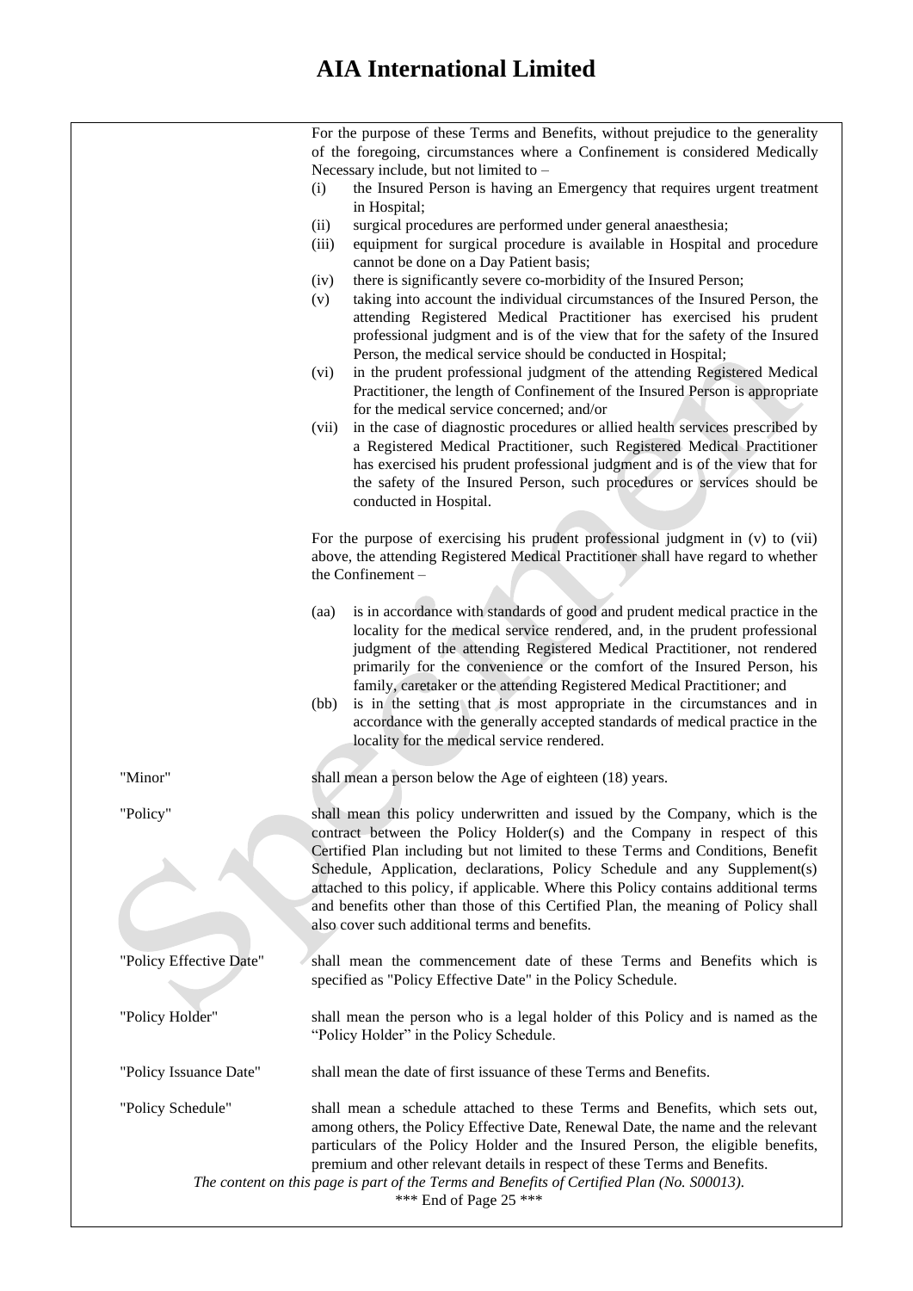|                         | For the purpose of these Terms and Benefits, without prejudice to the generality<br>of the foregoing, circumstances where a Confinement is considered Medically                                                                                                                                                                                                                                                                                                                                                                                                                                                    |
|-------------------------|--------------------------------------------------------------------------------------------------------------------------------------------------------------------------------------------------------------------------------------------------------------------------------------------------------------------------------------------------------------------------------------------------------------------------------------------------------------------------------------------------------------------------------------------------------------------------------------------------------------------|
|                         | Necessary include, but not limited to -<br>the Insured Person is having an Emergency that requires urgent treatment<br>(i)                                                                                                                                                                                                                                                                                                                                                                                                                                                                                         |
|                         | in Hospital;<br>(ii)<br>surgical procedures are performed under general anaesthesia;<br>equipment for surgical procedure is available in Hospital and procedure<br>(iii)<br>cannot be done on a Day Patient basis;<br>there is significantly severe co-morbidity of the Insured Person;<br>(iv)<br>taking into account the individual circumstances of the Insured Person, the<br>(v)<br>attending Registered Medical Practitioner has exercised his prudent<br>professional judgment and is of the view that for the safety of the Insured                                                                        |
|                         | Person, the medical service should be conducted in Hospital;<br>in the prudent professional judgment of the attending Registered Medical<br>(vi)<br>Practitioner, the length of Confinement of the Insured Person is appropriate<br>for the medical service concerned; and/or                                                                                                                                                                                                                                                                                                                                      |
|                         | in the case of diagnostic procedures or allied health services prescribed by<br>(vii)<br>a Registered Medical Practitioner, such Registered Medical Practitioner<br>has exercised his prudent professional judgment and is of the view that for<br>the safety of the Insured Person, such procedures or services should be<br>conducted in Hospital.                                                                                                                                                                                                                                                               |
|                         | For the purpose of exercising his prudent professional judgment in (v) to (vii)<br>above, the attending Registered Medical Practitioner shall have regard to whether<br>the Confinement -                                                                                                                                                                                                                                                                                                                                                                                                                          |
|                         | is in accordance with standards of good and prudent medical practice in the<br>(aa)<br>locality for the medical service rendered, and, in the prudent professional<br>judgment of the attending Registered Medical Practitioner, not rendered<br>primarily for the convenience or the comfort of the Insured Person, his<br>family, caretaker or the attending Registered Medical Practitioner; and<br>is in the setting that is most appropriate in the circumstances and in<br>(bb)<br>accordance with the generally accepted standards of medical practice in the<br>locality for the medical service rendered. |
| "Minor"                 | shall mean a person below the Age of eighteen (18) years.                                                                                                                                                                                                                                                                                                                                                                                                                                                                                                                                                          |
| "Policy"                | shall mean this policy underwritten and issued by the Company, which is the<br>contract between the Policy Holder(s) and the Company in respect of this<br>Certified Plan including but not limited to these Terms and Conditions, Benefit<br>Schedule, Application, declarations, Policy Schedule and any Supplement(s)<br>attached to this policy, if applicable. Where this Policy contains additional terms<br>and benefits other than those of this Certified Plan, the meaning of Policy shall<br>also cover such additional terms and benefits.                                                             |
| "Policy Effective Date" | shall mean the commencement date of these Terms and Benefits which is<br>specified as "Policy Effective Date" in the Policy Schedule.                                                                                                                                                                                                                                                                                                                                                                                                                                                                              |
| "Policy Holder"         | shall mean the person who is a legal holder of this Policy and is named as the<br>"Policy Holder" in the Policy Schedule.                                                                                                                                                                                                                                                                                                                                                                                                                                                                                          |
| "Policy Issuance Date"  | shall mean the date of first issuance of these Terms and Benefits.                                                                                                                                                                                                                                                                                                                                                                                                                                                                                                                                                 |
| "Policy Schedule"       | shall mean a schedule attached to these Terms and Benefits, which sets out,<br>among others, the Policy Effective Date, Renewal Date, the name and the relevant<br>particulars of the Policy Holder and the Insured Person, the eligible benefits,<br>premium and other relevant details in respect of these Terms and Benefits.                                                                                                                                                                                                                                                                                   |
|                         | The content on this page is part of the Terms and Benefits of Certified Plan (No. S00013).<br>*** End of Page 25 ***                                                                                                                                                                                                                                                                                                                                                                                                                                                                                               |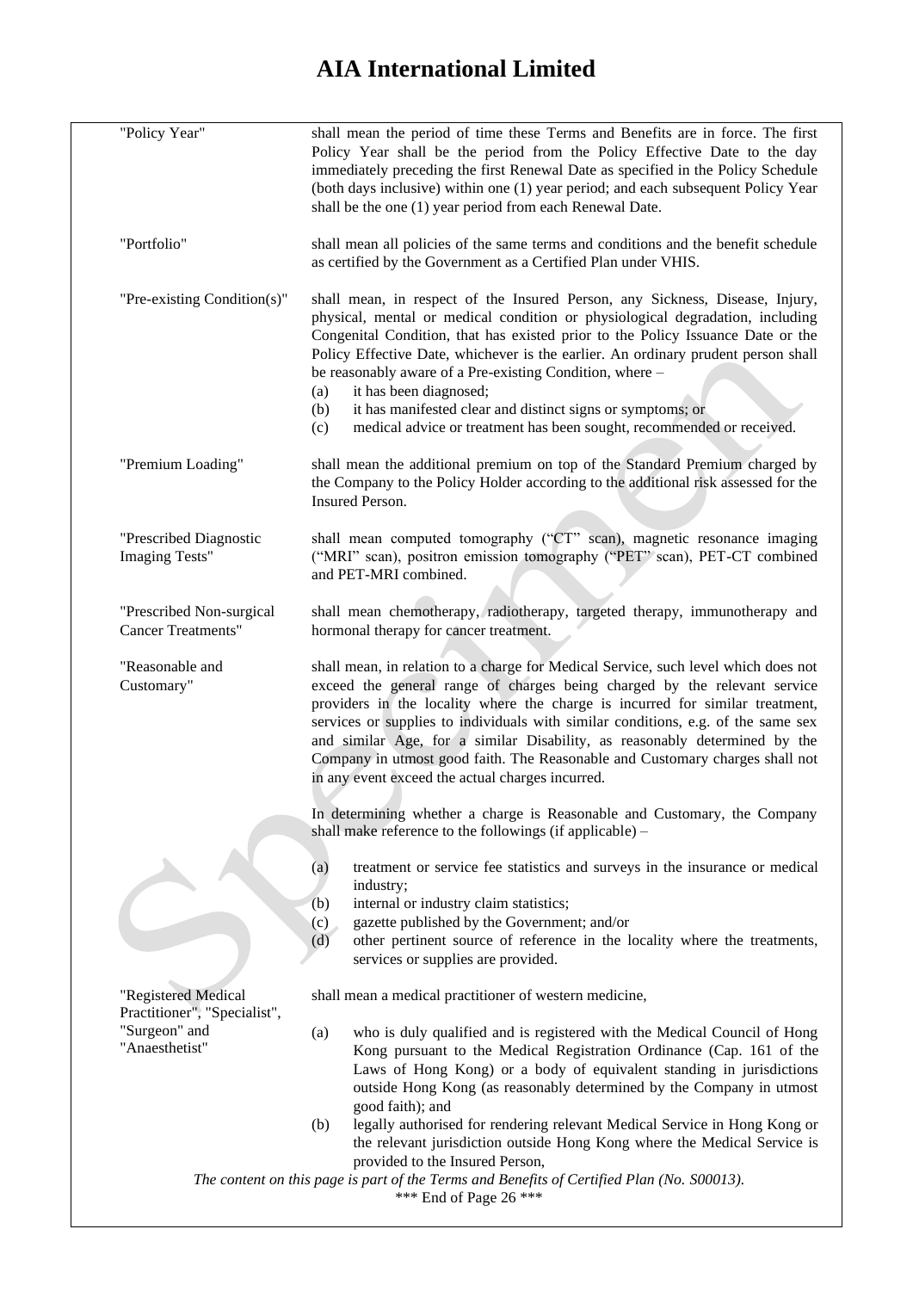| "Policy Year"                                         | shall mean the period of time these Terms and Benefits are in force. The first<br>Policy Year shall be the period from the Policy Effective Date to the day<br>immediately preceding the first Renewal Date as specified in the Policy Schedule<br>(both days inclusive) within one (1) year period; and each subsequent Policy Year<br>shall be the one (1) year period from each Renewal Date.                                                                                                                                                                                        |
|-------------------------------------------------------|-----------------------------------------------------------------------------------------------------------------------------------------------------------------------------------------------------------------------------------------------------------------------------------------------------------------------------------------------------------------------------------------------------------------------------------------------------------------------------------------------------------------------------------------------------------------------------------------|
| "Portfolio"                                           | shall mean all policies of the same terms and conditions and the benefit schedule<br>as certified by the Government as a Certified Plan under VHIS.                                                                                                                                                                                                                                                                                                                                                                                                                                     |
| "Pre-existing Condition(s)"                           | shall mean, in respect of the Insured Person, any Sickness, Disease, Injury,<br>physical, mental or medical condition or physiological degradation, including<br>Congenital Condition, that has existed prior to the Policy Issuance Date or the<br>Policy Effective Date, whichever is the earlier. An ordinary prudent person shall<br>be reasonably aware of a Pre-existing Condition, where -<br>it has been diagnosed;<br>(a)<br>(b)<br>it has manifested clear and distinct signs or symptoms; or<br>medical advice or treatment has been sought, recommended or received.<br>(c) |
| "Premium Loading"                                     | shall mean the additional premium on top of the Standard Premium charged by<br>the Company to the Policy Holder according to the additional risk assessed for the<br><b>Insured Person.</b>                                                                                                                                                                                                                                                                                                                                                                                             |
| "Prescribed Diagnostic<br>Imaging Tests"              | shall mean computed tomography ("CT" scan), magnetic resonance imaging<br>("MRI" scan), positron emission tomography ("PET" scan), PET-CT combined<br>and PET-MRI combined.                                                                                                                                                                                                                                                                                                                                                                                                             |
| "Prescribed Non-surgical<br><b>Cancer Treatments"</b> | shall mean chemotherapy, radiotherapy, targeted therapy, immunotherapy and<br>hormonal therapy for cancer treatment.                                                                                                                                                                                                                                                                                                                                                                                                                                                                    |
| "Reasonable and<br>Customary"                         | shall mean, in relation to a charge for Medical Service, such level which does not<br>exceed the general range of charges being charged by the relevant service<br>providers in the locality where the charge is incurred for similar treatment,<br>services or supplies to individuals with similar conditions, e.g. of the same sex<br>and similar Age, for a similar Disability, as reasonably determined by the<br>Company in utmost good faith. The Reasonable and Customary charges shall not<br>in any event exceed the actual charges incurred.                                 |
|                                                       | In determining whether a charge is Reasonable and Customary, the Company<br>shall make reference to the followings (if applicable) -                                                                                                                                                                                                                                                                                                                                                                                                                                                    |
|                                                       | treatment or service fee statistics and surveys in the insurance or medical<br>(a)<br>industry;<br>internal or industry claim statistics;<br>(b)<br>(c)<br>gazette published by the Government; and/or<br>other pertinent source of reference in the locality where the treatments,<br>(d)<br>services or supplies are provided.                                                                                                                                                                                                                                                        |
| "Registered Medical<br>Practitioner", "Specialist",   | shall mean a medical practitioner of western medicine,                                                                                                                                                                                                                                                                                                                                                                                                                                                                                                                                  |
| "Surgeon" and<br>"Anaesthetist"                       | who is duly qualified and is registered with the Medical Council of Hong<br>(a)<br>Kong pursuant to the Medical Registration Ordinance (Cap. 161 of the<br>Laws of Hong Kong) or a body of equivalent standing in jurisdictions<br>outside Hong Kong (as reasonably determined by the Company in utmost<br>good faith); and                                                                                                                                                                                                                                                             |
|                                                       | legally authorised for rendering relevant Medical Service in Hong Kong or<br>(b)<br>the relevant jurisdiction outside Hong Kong where the Medical Service is<br>provided to the Insured Person,                                                                                                                                                                                                                                                                                                                                                                                         |
|                                                       | The content on this page is part of the Terms and Benefits of Certified Plan (No. S00013).<br>*** End of Page 26 ***                                                                                                                                                                                                                                                                                                                                                                                                                                                                    |